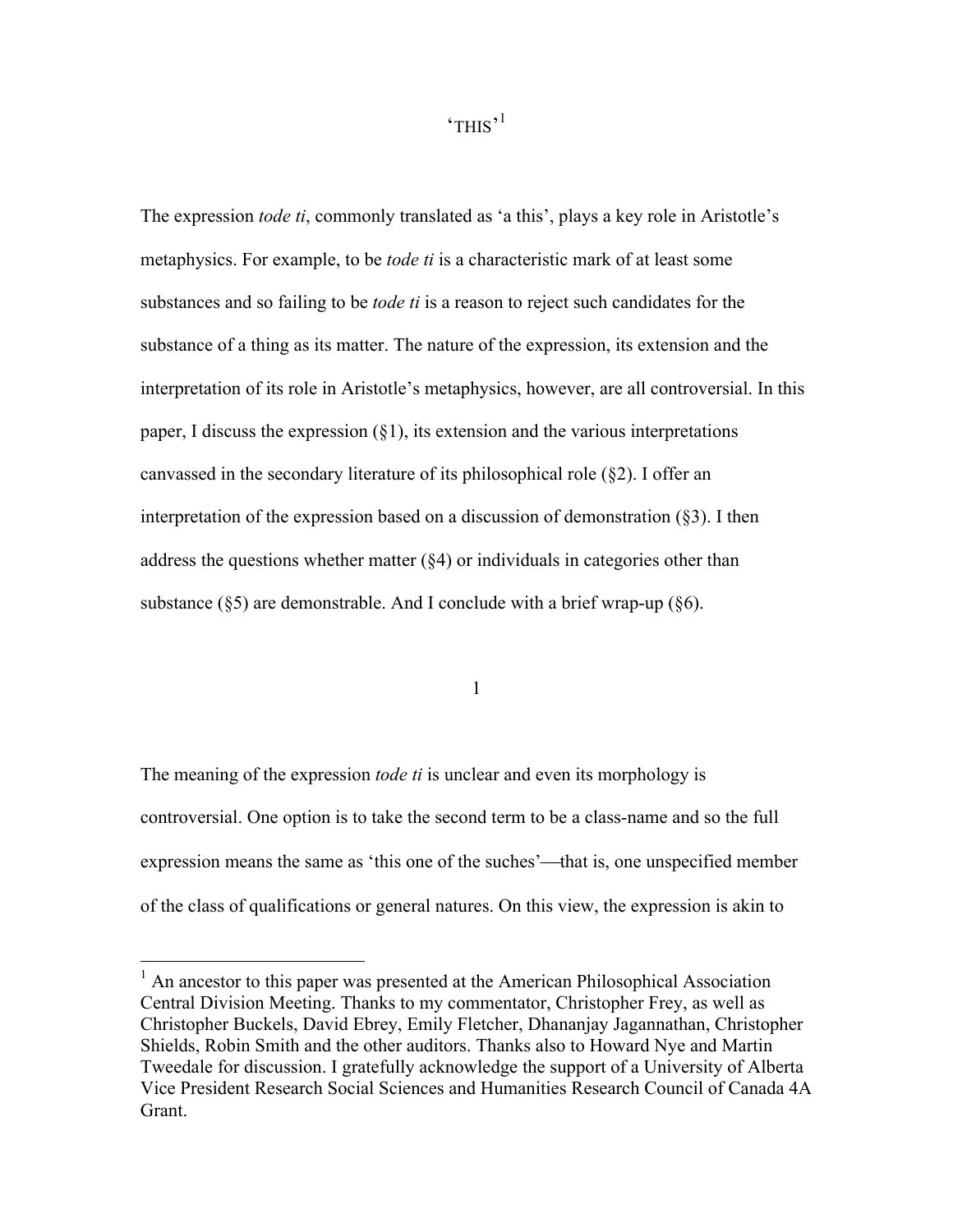'THIS' 1

The expression *tode ti*, commonly translated as 'a this', plays a key role in Aristotle's metaphysics. For example, to be *tode ti* is a characteristic mark of at least some substances and so failing to be *tode ti* is a reason to reject such candidates for the substance of a thing as its matter. The nature of the expression, its extension and the interpretation of its role in Aristotle's metaphysics, however, are all controversial. In this paper, I discuss the expression  $(\S1)$ , its extension and the various interpretations canvassed in the secondary literature of its philosophical role (§2). I offer an interpretation of the expression based on a discussion of demonstration (§3). I then address the questions whether matter (§4) or individuals in categories other than substance  $(\S 5)$  are demonstrable. And I conclude with a brief wrap-up  $(\S 6)$ .

1

The meaning of the expression *tode ti* is unclear and even its morphology is controversial. One option is to take the second term to be a class-name and so the full expression means the same as 'this one of the suches'—that is, one unspecified member of the class of qualifications or general natures. On this view, the expression is akin to

<sup>&</sup>lt;sup>1</sup> An ancestor to this paper was presented at the American Philosophical Association Central Division Meeting. Thanks to my commentator, Christopher Frey, as well as Christopher Buckels, David Ebrey, Emily Fletcher, Dhananjay Jagannathan, Christopher Shields, Robin Smith and the other auditors. Thanks also to Howard Nye and Martin Tweedale for discussion. I gratefully acknowledge the support of a University of Alberta Vice President Research Social Sciences and Humanities Research Council of Canada 4A Grant.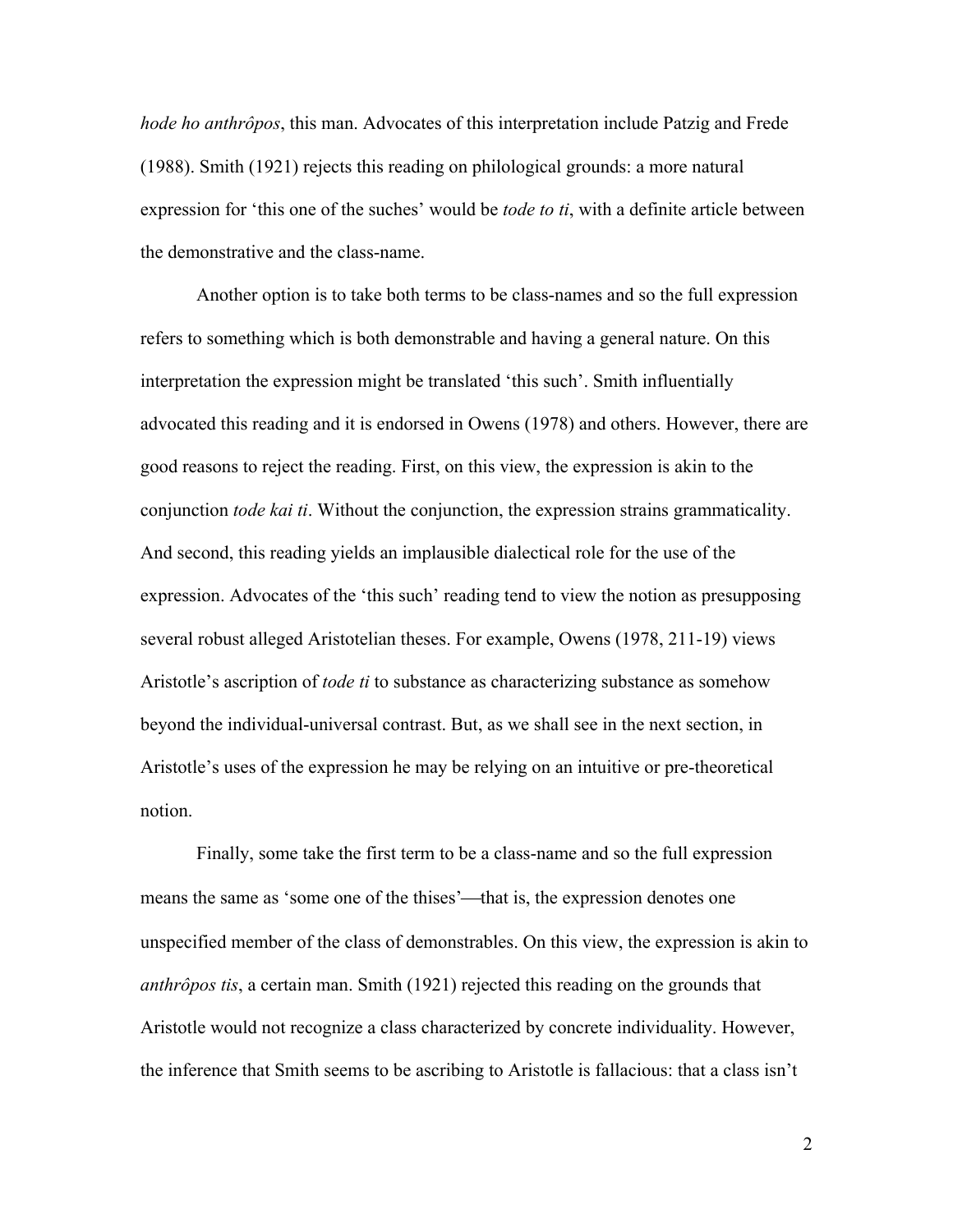*hode ho anthrôpos*, this man. Advocates of this interpretation include Patzig and Frede (1988). Smith (1921) rejects this reading on philological grounds: a more natural expression for 'this one of the suches' would be *tode to ti*, with a definite article between the demonstrative and the class-name.

Another option is to take both terms to be class-names and so the full expression refers to something which is both demonstrable and having a general nature. On this interpretation the expression might be translated 'this such'. Smith influentially advocated this reading and it is endorsed in Owens (1978) and others. However, there are good reasons to reject the reading. First, on this view, the expression is akin to the conjunction *tode kai ti*. Without the conjunction, the expression strains grammaticality. And second, this reading yields an implausible dialectical role for the use of the expression. Advocates of the 'this such' reading tend to view the notion as presupposing several robust alleged Aristotelian theses. For example, Owens (1978, 211-19) views Aristotle's ascription of *tode ti* to substance as characterizing substance as somehow beyond the individual-universal contrast. But, as we shall see in the next section, in Aristotle's uses of the expression he may be relying on an intuitive or pre-theoretical notion.

Finally, some take the first term to be a class-name and so the full expression means the same as 'some one of the thises'—that is, the expression denotes one unspecified member of the class of demonstrables. On this view, the expression is akin to *anthrôpos tis*, a certain man. Smith (1921) rejected this reading on the grounds that Aristotle would not recognize a class characterized by concrete individuality. However, the inference that Smith seems to be ascribing to Aristotle is fallacious: that a class isn't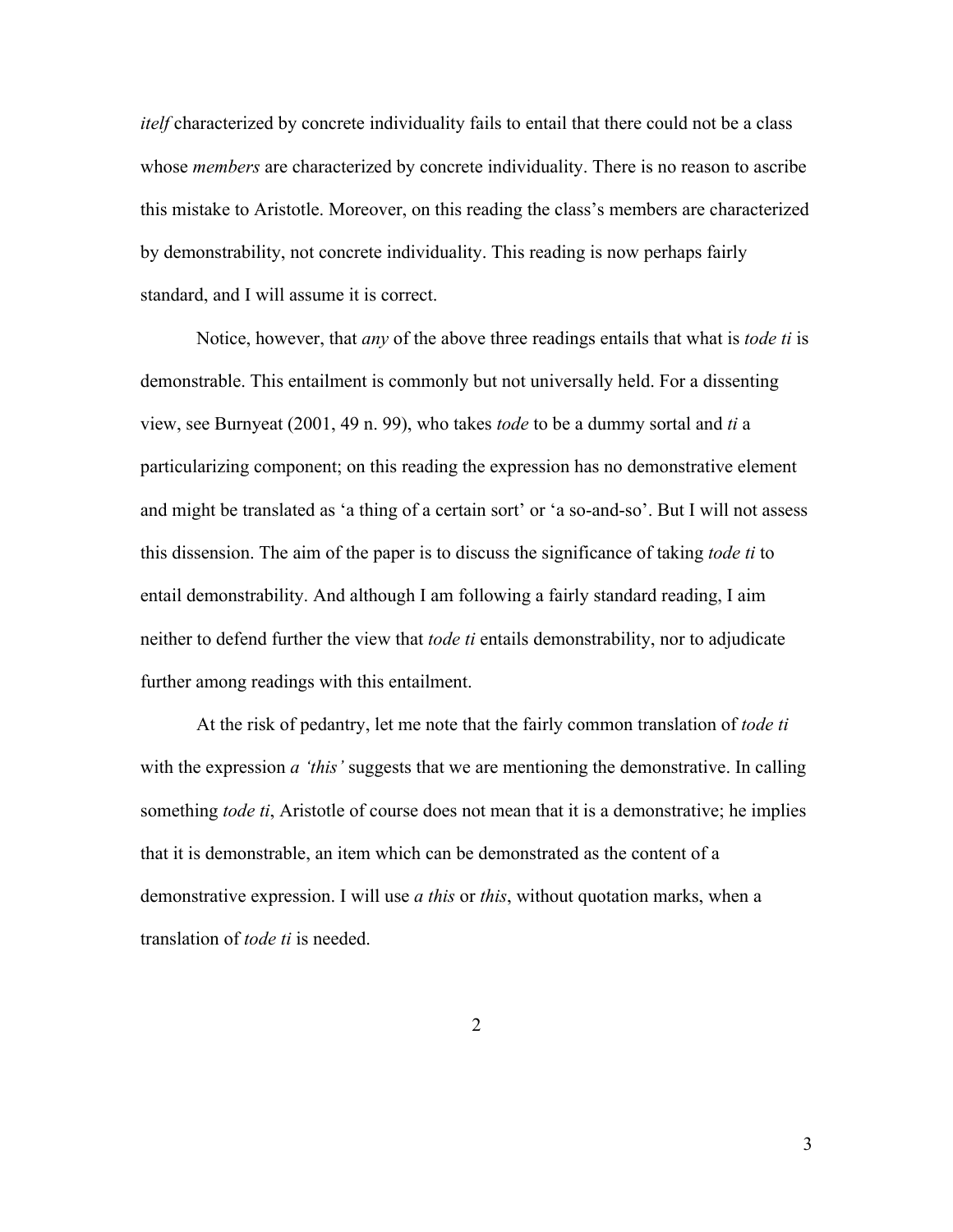*itelf* characterized by concrete individuality fails to entail that there could not be a class whose *members* are characterized by concrete individuality. There is no reason to ascribe this mistake to Aristotle. Moreover, on this reading the class's members are characterized by demonstrability, not concrete individuality. This reading is now perhaps fairly standard, and I will assume it is correct.

Notice, however, that *any* of the above three readings entails that what is *tode ti* is demonstrable. This entailment is commonly but not universally held. For a dissenting view, see Burnyeat (2001, 49 n. 99), who takes *tode* to be a dummy sortal and *ti* a particularizing component; on this reading the expression has no demonstrative element and might be translated as 'a thing of a certain sort' or 'a so-and-so'. But I will not assess this dissension. The aim of the paper is to discuss the significance of taking *tode ti* to entail demonstrability. And although I am following a fairly standard reading, I aim neither to defend further the view that *tode ti* entails demonstrability, nor to adjudicate further among readings with this entailment.

At the risk of pedantry, let me note that the fairly common translation of *tode ti* with the expression *a 'this'* suggests that we are mentioning the demonstrative. In calling something *tode ti*, Aristotle of course does not mean that it is a demonstrative; he implies that it is demonstrable, an item which can be demonstrated as the content of a demonstrative expression. I will use *a this* or *this*, without quotation marks, when a translation of *tode ti* is needed.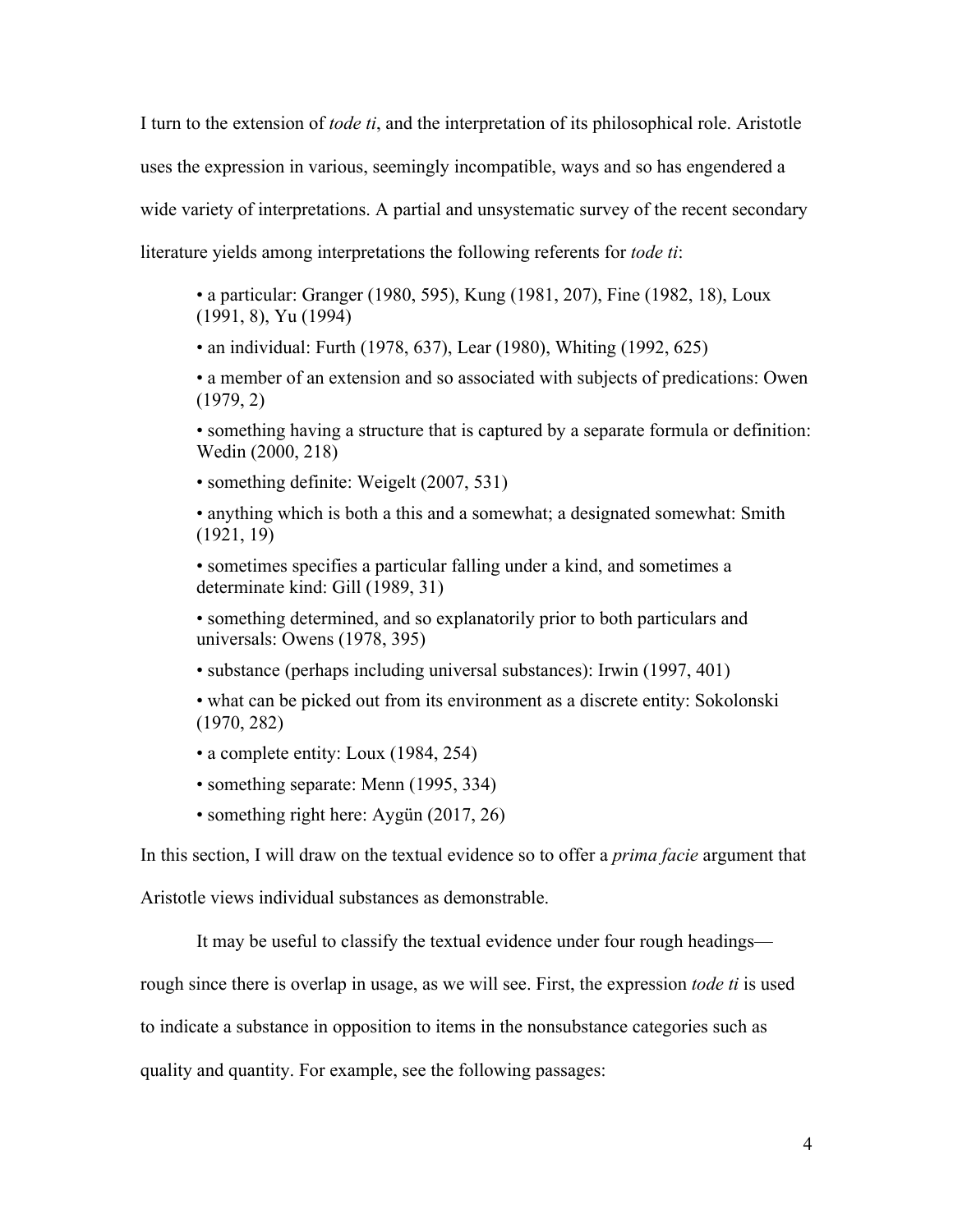I turn to the extension of *tode ti*, and the interpretation of its philosophical role. Aristotle uses the expression in various, seemingly incompatible, ways and so has engendered a wide variety of interpretations. A partial and unsystematic survey of the recent secondary literature yields among interpretations the following referents for *tode ti*:

• a particular: Granger (1980, 595), Kung (1981, 207), Fine (1982, 18), Loux (1991, 8), Yu (1994)

• an individual: Furth (1978, 637), Lear (1980), Whiting (1992, 625)

• a member of an extension and so associated with subjects of predications: Owen (1979, 2)

• something having a structure that is captured by a separate formula or definition: Wedin (2000, 218)

• something definite: Weigelt (2007, 531)

• anything which is both a this and a somewhat; a designated somewhat: Smith (1921, 19)

• sometimes specifies a particular falling under a kind, and sometimes a determinate kind: Gill (1989, 31)

• something determined, and so explanatorily prior to both particulars and universals: Owens (1978, 395)

• substance (perhaps including universal substances): Irwin (1997, 401)

• what can be picked out from its environment as a discrete entity: Sokolonski (1970, 282)

• a complete entity: Loux (1984, 254)

• something separate: Menn (1995, 334)

• something right here: Aygün (2017, 26)

In this section, I will draw on the textual evidence so to offer a *prima facie* argument that

Aristotle views individual substances as demonstrable.

It may be useful to classify the textual evidence under four rough headings—

rough since there is overlap in usage, as we will see. First, the expression *tode ti* is used

to indicate a substance in opposition to items in the nonsubstance categories such as

quality and quantity. For example, see the following passages: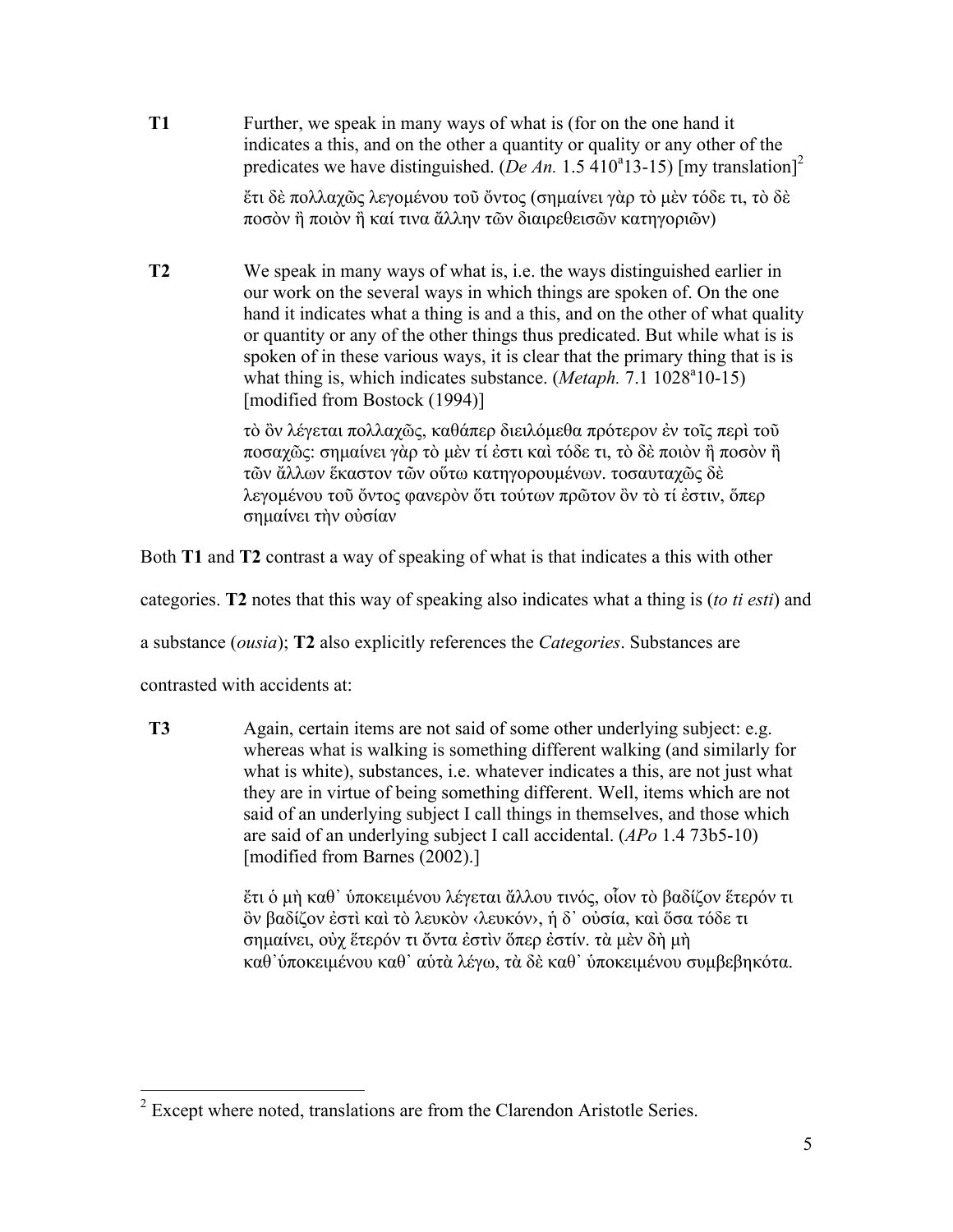**T1** Further, we speak in many ways of what is (for on the one hand it indicates a this, and on the other a quantity or quality or any other of the predicates we have distinguished. (*De An.* 1.5  $\frac{410^4}{3}$ -15) [my translation]<sup>2</sup> ἔτι δὲ πολλαχῶς λεγοµένου τοῦ ὄντος (σηµαίνει γὰρ τὸ µὲν τόδε τι, τὸ δὲ ποσὸν ἢ ποιὸν ἢ καί τινα ἄλλην τῶν διαιρεθεισῶν κατηγοριῶν)

**T2** We speak in many ways of what is, i.e. the ways distinguished earlier in our work on the several ways in which things are spoken of. On the one hand it indicates what a thing is and a this, and on the other of what quality or quantity or any of the other things thus predicated. But while what is is spoken of in these various ways, it is clear that the primary thing that is is what thing is, which indicates substance. (*Metaph.* 7.1 1028<sup>a</sup>10-15) [modified from Bostock (1994)]

> τὸ ὂν λέγεται πολλαχῶς, καθάπερ διειλόµεθα πρότερον ἐν τοῖς περὶ τοῦ ποσαχῶς: σηµαίνει γὰρ τὸ µὲν τί ἐστι καὶ τόδε τι, τὸ δὲ ποιὸν ἢ ποσὸν ἢ τῶν ἄλλων ἕκαστον τῶν οὕτω κατηγορουµένων. τοσαυταχῶς δὲ λεγοµένου τοῦ ὄντος φανερὸν ὅτι τούτων πρῶτον ὂν τὸ τί ἐστιν, ὅπερ σηµαίνει τὴν οὐσίαν

Both **T1** and **T2** contrast a way of speaking of what is that indicates a this with other

categories. **T2** notes that this way of speaking also indicates what a thing is (*to ti esti*) and

a substance (*ousia*); **T2** also explicitly references the *Categories*. Substances are

contrasted with accidents at:

**T3** Again, certain items are not said of some other underlying subject: e.g. whereas what is walking is something different walking (and similarly for what is white), substances, i.e. whatever indicates a this, are not just what they are in virtue of being something different. Well, items which are not said of an underlying subject I call things in themselves, and those which are said of an underlying subject I call accidental. (*APo* 1.4 73b5-10) [modified from Barnes (2002).]

> ἔτι ὁ µὴ καθ᾽ ὑποκειµένου λέγεται ἄλλου τινός, οἷον τὸ βαδίζον ἕτερόν τι ὂν βαδίζον ἐστὶ καὶ τὸ λευκὸν ‹λευκόν›, ἡ δ᾽ οὐσία, καὶ ὅσα τόδε τι σηµαίνει, οὐχ ἕτερόν τι ὄντα ἐστὶν ὅπερ ἐστίν. τὰ µὲν δὴ µὴ καθ᾽ὑποκειµένου καθ᾽ αὑτὰ λέγω, τὰ δὲ καθ᾽ ὑποκειµένου συµβεβηκότα.

<sup>&</sup>lt;sup>2</sup> Except where noted, translations are from the Clarendon Aristotle Series.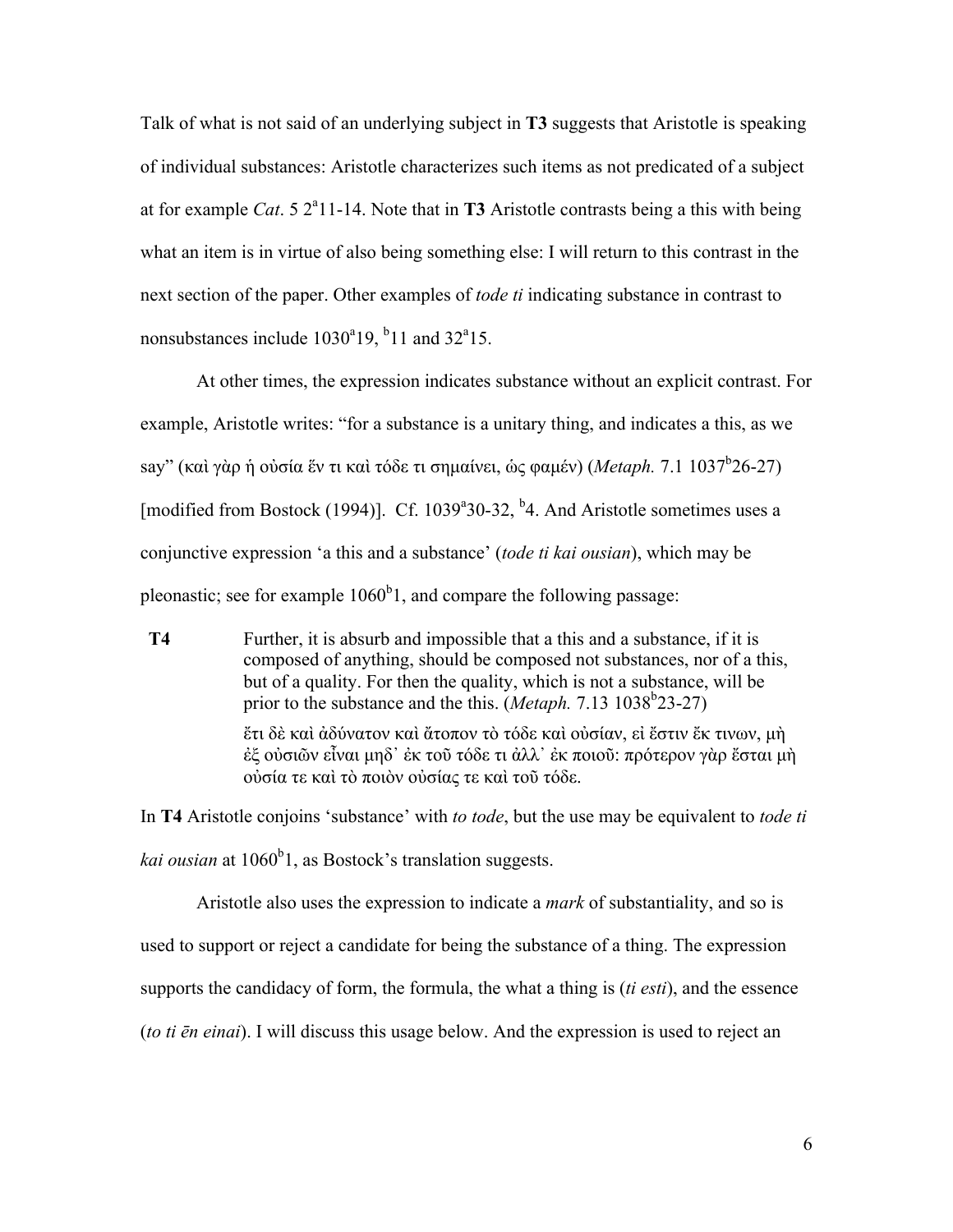Talk of what is not said of an underlying subject in **T3** suggests that Aristotle is speaking of individual substances: Aristotle characterizes such items as not predicated of a subject at for example *Cat*.  $5 \frac{2^{a}11 - 14}$ . Note that in **T3** Aristotle contrasts being a this with being what an item is in virtue of also being something else: I will return to this contrast in the next section of the paper. Other examples of *tode ti* indicating substance in contrast to nonsubstances include  $1030^{\circ}19$ ,  $^{\circ}11$  and  $32^{\circ}15$ .

At other times, the expression indicates substance without an explicit contrast. For example, Aristotle writes: "for a substance is a unitary thing, and indicates a this, as we say" (καὶ γὰρ ἡ οὐσία ἕν τι καὶ τόδε τι σημαίνει, ὡς φαμέν) (*Metaph. 7.*1 1037<sup>b</sup>26-27) [modified from Bostock (1994)]. Cf. 1039<sup>a</sup>30-32, <sup>b</sup>4. And Aristotle sometimes uses a conjunctive expression 'a this and a substance' (*tode ti kai ousian*), which may be pleonastic; see for example  $1060<sup>b</sup>1$ , and compare the following passage:

**T4** Further, it is absurb and impossible that a this and a substance, if it is composed of anything, should be composed not substances, nor of a this, but of a quality. For then the quality, which is not a substance, will be prior to the substance and the this. (*Metaph.* 7.13 1038<sup>b</sup>23-27) ἔτι δὲ καὶ ἀδύνατον καὶ ἄτοπον τὸ τόδε καὶ οὐσίαν, εἰ ἔστιν ἔκ τινων, µὴ

ἐξ οὐσιῶν εἶναι µηδ᾽ ἐκ τοῦ τόδε τι ἀλλ᾽ ἐκ ποιοῦ: πρότερον γὰρ ἔσται µὴ οὐσία τε καὶ τὸ ποιὸν οὐσίας τε καὶ τοῦ τόδε.

In **T4** Aristotle conjoins 'substance' with *to tode*, but the use may be equivalent to *tode ti*  kai ousian at 1060<sup>b</sup>1, as Bostock's translation suggests.

Aristotle also uses the expression to indicate a *mark* of substantiality, and so is used to support or reject a candidate for being the substance of a thing. The expression supports the candidacy of form, the formula, the what a thing is (*ti esti*), and the essence (*to ti ēn einai*). I will discuss this usage below. And the expression is used to reject an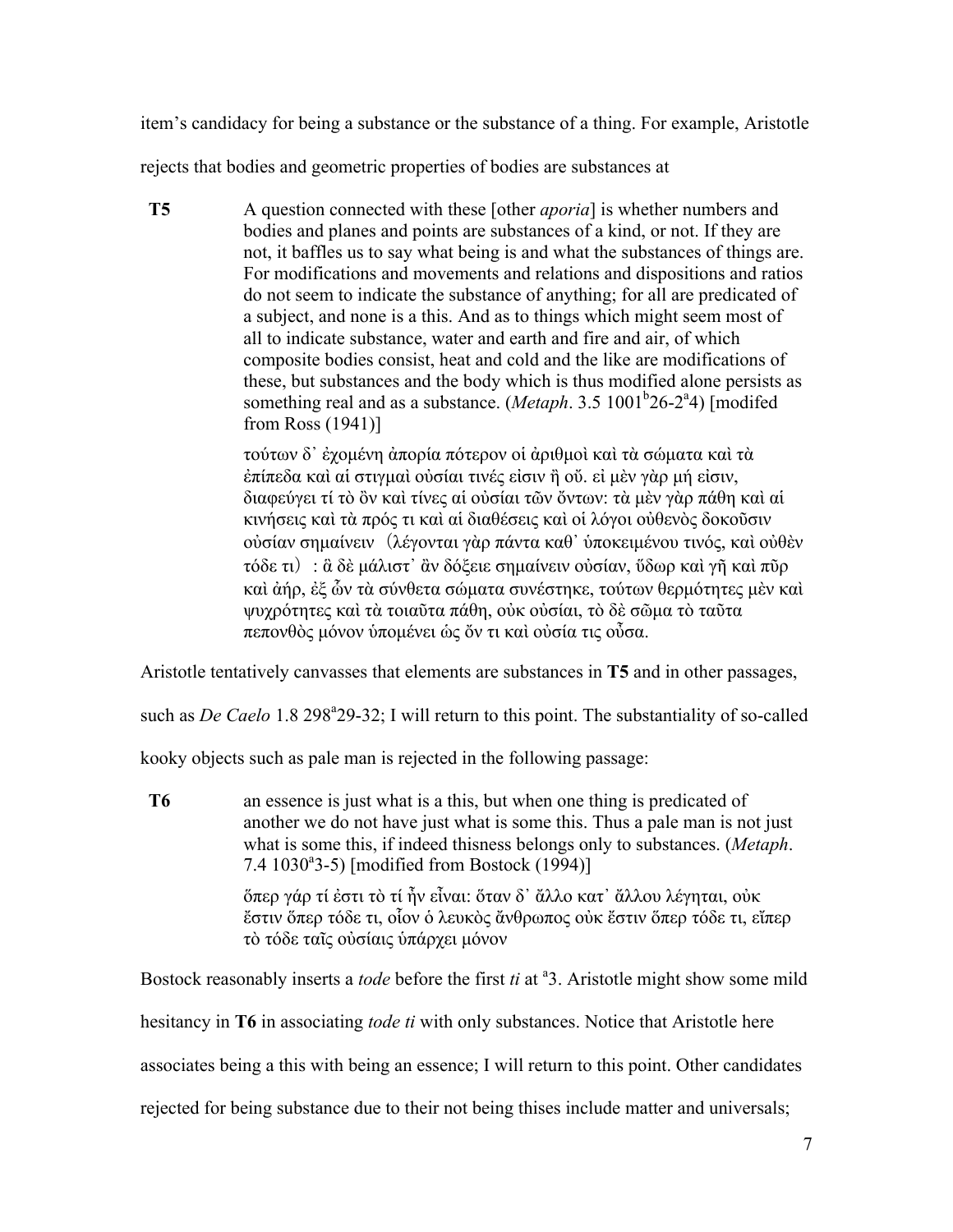item's candidacy for being a substance or the substance of a thing. For example, Aristotle

rejects that bodies and geometric properties of bodies are substances at

**T5** A question connected with these [other *aporia*] is whether numbers and bodies and planes and points are substances of a kind, or not. If they are not, it baffles us to say what being is and what the substances of things are. For modifications and movements and relations and dispositions and ratios do not seem to indicate the substance of anything; for all are predicated of a subject, and none is a this. And as to things which might seem most of all to indicate substance, water and earth and fire and air, of which composite bodies consist, heat and cold and the like are modifications of these, but substances and the body which is thus modified alone persists as something real and as a substance. (*Metaph.* 3.5 1001<sup>b</sup>26-2<sup>a</sup>4) [modifed from Ross (1941)]

> τούτων δ᾽ ἐχοµένη ἀπορία πότερον οἱ ἀριθµοὶ καὶ τὰ σώµατα καὶ τὰ ἐπίπεδα καὶ αἱ στιγµαὶ οὐσίαι τινές εἰσιν ἢ οὔ. εἰ µὲν γὰρ µή εἰσιν, διαφεύγει τί τὸ ὂν καὶ τίνες αἱ οὐσίαι τῶν ὄντων: τὰ µὲν γὰρ πάθη καὶ αἱ κινήσεις καὶ τὰ πρός τι καὶ αἱ διαθέσεις καὶ οἱ λόγοι οὐθενὸς δοκοῦσιν ούσίαν σημαίνειν (λέγονται γὰρ πάντα καθ' υποκειμένου τινός, καὶ οὐθὲν τόδε τι): ἃ δὲ µάλιστ᾽ ἂν δόξειε σηµαίνειν οὐσίαν, ὕδωρ καὶ γῆ καὶ πῦρ καὶ ἀήρ, ἐξ ὧν τὰ σύνθετα σώµατα συνέστηκε, τούτων θερµότητες µὲν καὶ ψυχρότητες καὶ τὰ τοιαῦτα πάθη, οὐκ οὐσίαι, τὸ δὲ σῶµα τὸ ταῦτα πεπονθὸς µόνον ὑποµένει ὡς ὄν τι καὶ οὐσία τις οὖσα.

Aristotle tentatively canvasses that elements are substances in **T5** and in other passages,

such as *De Caelo* 1.8 298<sup>ª</sup>29-32; I will return to this point. The substantiality of so-called

kooky objects such as pale man is rejected in the following passage:

**T6** an essence is just what is a this, but when one thing is predicated of another we do not have just what is some this. Thus a pale man is not just what is some this, if indeed thisness belongs only to substances. (*Metaph*. 7.4 1030<sup>a</sup>3-5) [modified from Bostock (1994)] ὅπερ γάρ τί ἐστι τὸ τί ἦν εἶναι: ὅταν δ᾽ ἄλλο κατ᾽ ἄλλου λέγηται, οὐκ

ἔστιν ὅπερ τόδε τι, οἷον ὁ λευκὸς ἄνθρωπος οὐκ ἔστιν ὅπερ τόδε τι, εἴπερ τὸ τόδε ταῖς οὐσίαις ὑπάρχει µόνον

Bostock reasonably inserts a *tode* before the first *ti* at <sup>a</sup>3. Aristotle might show some mild

hesitancy in **T6** in associating *tode ti* with only substances. Notice that Aristotle here

associates being a this with being an essence; I will return to this point. Other candidates

rejected for being substance due to their not being thises include matter and universals;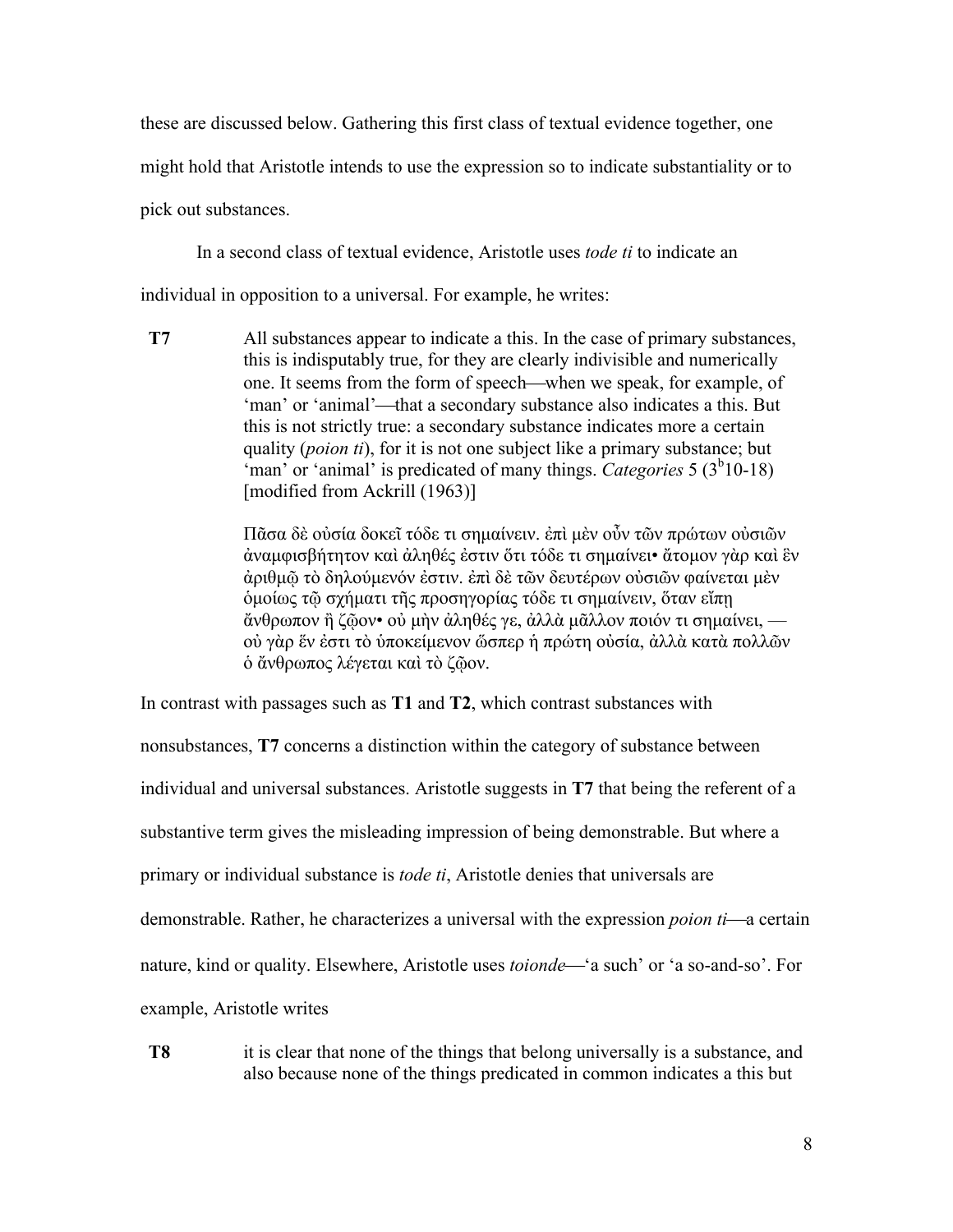these are discussed below. Gathering this first class of textual evidence together, one

might hold that Aristotle intends to use the expression so to indicate substantiality or to

pick out substances.

In a second class of textual evidence, Aristotle uses *tode ti* to indicate an

individual in opposition to a universal. For example, he writes:

**T7** All substances appear to indicate a this. In the case of primary substances, this is indisputably true, for they are clearly indivisible and numerically one. It seems from the form of speech—when we speak, for example, of 'man' or 'animal'—that a secondary substance also indicates a this. But this is not strictly true: a secondary substance indicates more a certain quality (*poion ti*), for it is not one subject like a primary substance; but 'man' or 'animal' is predicated of many things. *Categories* 5 (3<sup>b</sup>10-18) [modified from Ackrill (1963)]

> Πᾶσα δὲ οὐσία δοκεῖ τόδε τι σηµαίνειν. ἐπὶ µὲν οὖν τῶν πρώτων οὐσιῶν ἀναµφισβήτητον καὶ ἀληθές ἐστιν ὅτι τόδε τι σηµαίνει• ἄτοµον γὰρ καὶ ἓν ἀριθµῷ τὸ δηλούµενόν ἐστιν. ἐπὶ δὲ τῶν δευτέρων οὐσιῶν φαίνεται µὲν ὁµοίως τῷ σχήµατι τῆς προσηγορίας τόδε τι σηµαίνειν, ὅταν εἴπῃ ἄνθρωπον ἢ ζῷον• οὐ µὴν ἀληθές γε, ἀλλὰ µᾶλλον ποιόν τι σηµαίνει, οὐ γὰρ ἕν ἐστι τὸ ὑποκείµενον ὥσπερ ἡ πρώτη οὐσία, ἀλλὰ κατὰ πολλῶν ὁ ἄνθρωπος λέγεται καὶ τὸ ζῷον.

In contrast with passages such as **T1** and **T2**, which contrast substances with

nonsubstances, **T7** concerns a distinction within the category of substance between individual and universal substances. Aristotle suggests in **T7** that being the referent of a substantive term gives the misleading impression of being demonstrable. But where a primary or individual substance is *tode ti*, Aristotle denies that universals are demonstrable. Rather, he characterizes a universal with the expression *poion ti*—a certain nature, kind or quality. Elsewhere, Aristotle uses *toionde*—'a such' or 'a so-and-so'. For example, Aristotle writes

**T8** it is clear that none of the things that belong universally is a substance, and also because none of the things predicated in common indicates a this but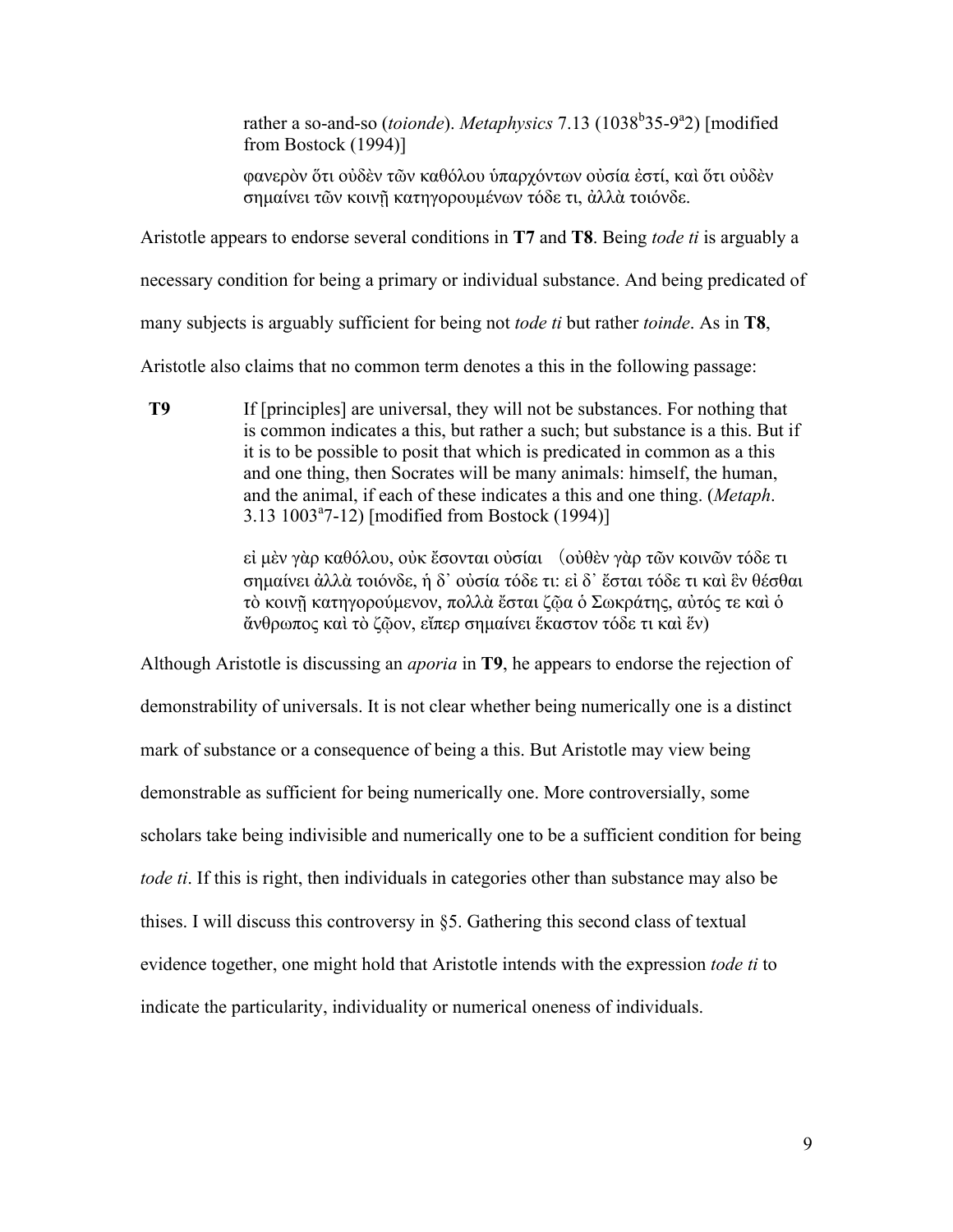rather a so-and-so (*toionde*). *Metaphysics* 7.13 (1038<sup>b</sup>35-9<sup>a</sup>2) [modified from Bostock (1994)]

φανερὸν ὅτι οὐδὲν τῶν καθόλου ὑπαρχόντων οὐσία ἐστί, καὶ ὅτι οὐδὲν σηµαίνει τῶν κοινῇ κατηγορουµένων τόδε τι, ἀλλὰ τοιόνδε.

Aristotle appears to endorse several conditions in **T7** and **T8**. Being *tode ti* is arguably a

necessary condition for being a primary or individual substance. And being predicated of

many subjects is arguably sufficient for being not *tode ti* but rather *toinde*. As in **T8**,

Aristotle also claims that no common term denotes a this in the following passage:

**T9** If [principles] are universal, they will not be substances. For nothing that is common indicates a this, but rather a such; but substance is a this. But if it is to be possible to posit that which is predicated in common as a this and one thing, then Socrates will be many animals: himself, the human, and the animal, if each of these indicates a this and one thing. (*Metaph*. 3.13 1003a 7-12) [modified from Bostock (1994)]

> εἰ µὲν γὰρ καθόλου, οὐκ ἔσονται οὐσίαι (οὐθὲν γὰρ τῶν κοινῶν τόδε τι σηµαίνει ἀλλὰ τοιόνδε, ἡ δ᾽ οὐσία τόδε τι: εἰ δ᾽ ἔσται τόδε τι καὶ ἓν θέσθαι τὸ κοινῇ κατηγορούµενον, πολλὰ ἔσται ζῷα ὁ Σωκράτης, αὐτός τε καὶ ὁ ἄνθρωπος καὶ τὸ ζῷον, εἴπερ σηµαίνει ἕκαστον τόδε τι καὶ ἕν)

Although Aristotle is discussing an *aporia* in **T9**, he appears to endorse the rejection of demonstrability of universals. It is not clear whether being numerically one is a distinct mark of substance or a consequence of being a this. But Aristotle may view being demonstrable as sufficient for being numerically one. More controversially, some scholars take being indivisible and numerically one to be a sufficient condition for being *tode ti*. If this is right, then individuals in categories other than substance may also be thises. I will discuss this controversy in §5. Gathering this second class of textual evidence together, one might hold that Aristotle intends with the expression *tode ti* to indicate the particularity, individuality or numerical oneness of individuals.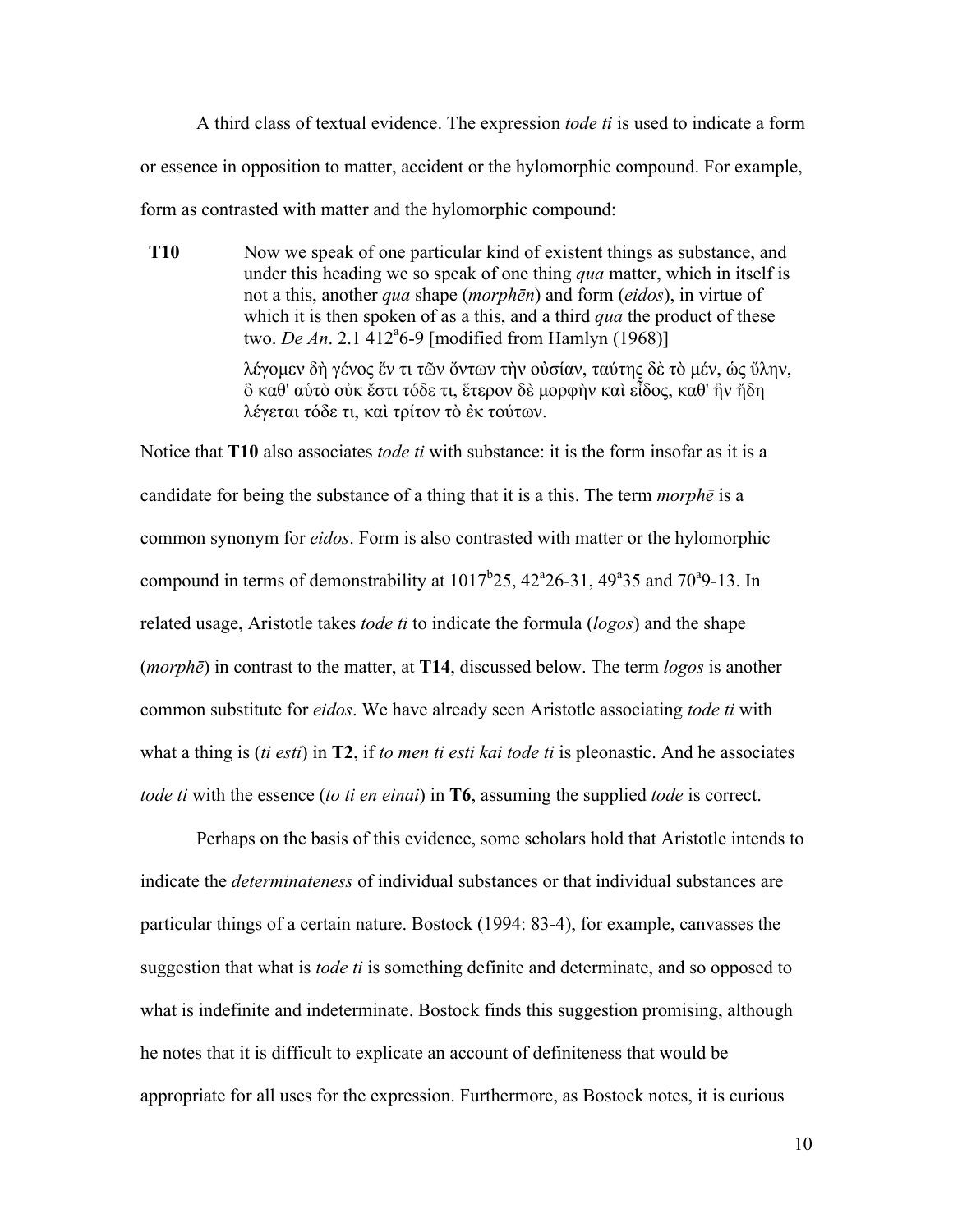A third class of textual evidence. The expression *tode ti* is used to indicate a form or essence in opposition to matter, accident or the hylomorphic compound. For example, form as contrasted with matter and the hylomorphic compound:

**T10** Now we speak of one particular kind of existent things as substance, and under this heading we so speak of one thing *qua* matter, which in itself is not a this, another *qua* shape (*morphēn*) and form (*eidos*), in virtue of which it is then spoken of as a this, and a third *qua* the product of these two. *De An.* 2.1 412<sup>a</sup>6-9 [modified from Hamlyn (1968)] λέγοµεν δὴ γένος ἕν τι τῶν ὄντων τὴν οὐσίαν, ταύτης δὲ τὸ µέν, ὡς ὕλην, ὃ καθ' αὑτὸ οὐκ ἔστι τόδε τι, ἕτερον δὲ µορφὴν καὶ εἶδος, καθ' ἣν ἤδη

λέγεται τόδε τι, καὶ τρίτον τὸ ἐκ τούτων.

Notice that **T10** also associates *tode ti* with substance: it is the form insofar as it is a candidate for being the substance of a thing that it is a this. The term *morphē* is a common synonym for *eidos*. Form is also contrasted with matter or the hylomorphic compound in terms of demonstrability at  $1017<sup>b</sup>25$ ,  $42<sup>a</sup>26-31$ ,  $49<sup>a</sup>35$  and  $70<sup>a</sup>9-13$ . In related usage, Aristotle takes *tode ti* to indicate the formula (*logos*) and the shape (*morphē*) in contrast to the matter, at **T14**, discussed below. The term *logos* is another common substitute for *eidos*. We have already seen Aristotle associating *tode ti* with what a thing is (*ti esti*) in **T2**, if *to men ti esti kai tode ti* is pleonastic. And he associates *tode ti* with the essence (*to ti en einai*) in **T6**, assuming the supplied *tode* is correct.

Perhaps on the basis of this evidence, some scholars hold that Aristotle intends to indicate the *determinateness* of individual substances or that individual substances are particular things of a certain nature. Bostock (1994: 83-4), for example, canvasses the suggestion that what is *tode ti* is something definite and determinate, and so opposed to what is indefinite and indeterminate. Bostock finds this suggestion promising, although he notes that it is difficult to explicate an account of definiteness that would be appropriate for all uses for the expression. Furthermore, as Bostock notes, it is curious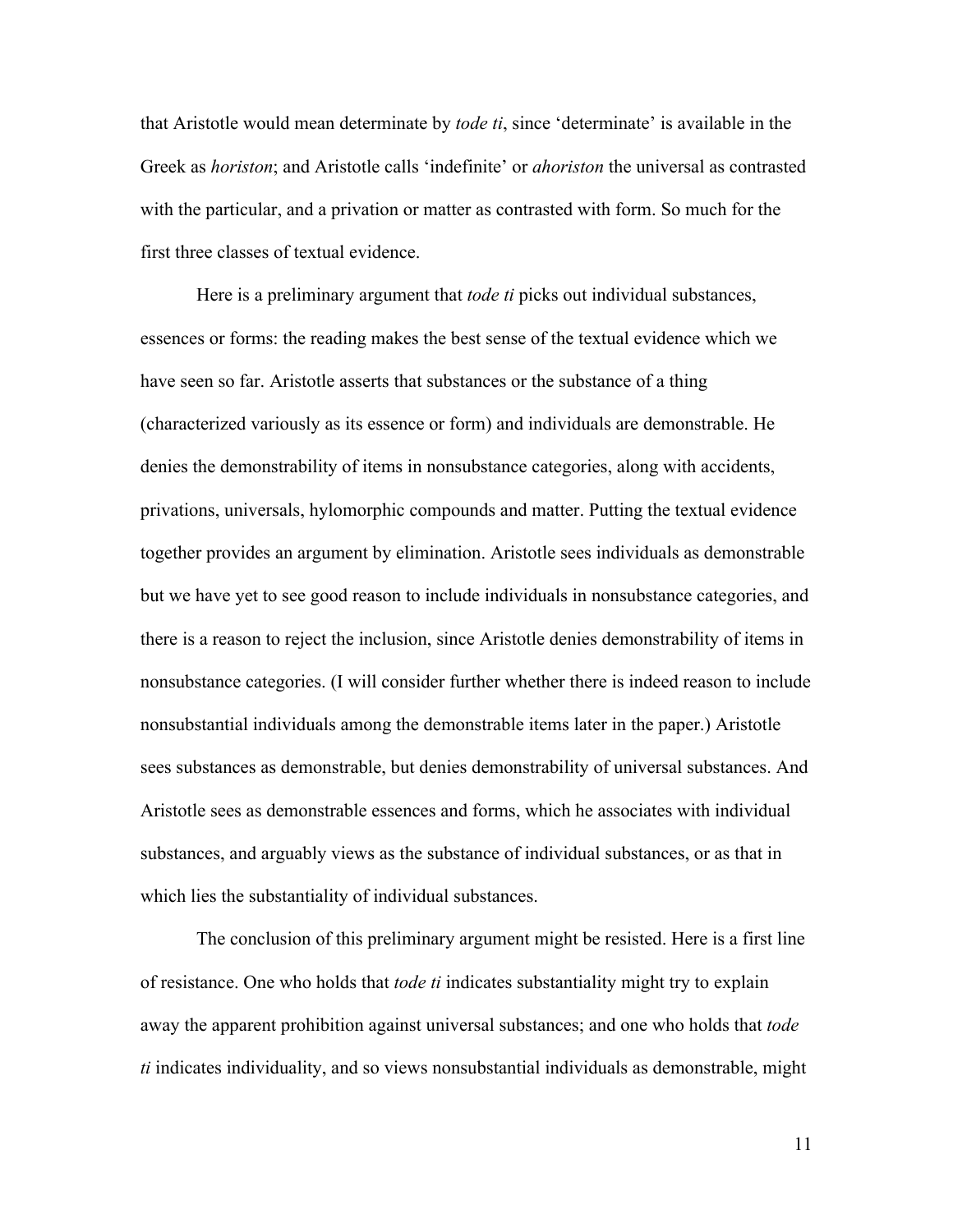that Aristotle would mean determinate by *tode ti*, since 'determinate' is available in the Greek as *horiston*; and Aristotle calls 'indefinite' or *ahoriston* the universal as contrasted with the particular, and a privation or matter as contrasted with form. So much for the first three classes of textual evidence.

Here is a preliminary argument that *tode ti* picks out individual substances, essences or forms: the reading makes the best sense of the textual evidence which we have seen so far. Aristotle asserts that substances or the substance of a thing (characterized variously as its essence or form) and individuals are demonstrable. He denies the demonstrability of items in nonsubstance categories, along with accidents, privations, universals, hylomorphic compounds and matter. Putting the textual evidence together provides an argument by elimination. Aristotle sees individuals as demonstrable but we have yet to see good reason to include individuals in nonsubstance categories, and there is a reason to reject the inclusion, since Aristotle denies demonstrability of items in nonsubstance categories. (I will consider further whether there is indeed reason to include nonsubstantial individuals among the demonstrable items later in the paper.) Aristotle sees substances as demonstrable, but denies demonstrability of universal substances. And Aristotle sees as demonstrable essences and forms, which he associates with individual substances, and arguably views as the substance of individual substances, or as that in which lies the substantiality of individual substances.

The conclusion of this preliminary argument might be resisted. Here is a first line of resistance. One who holds that *tode ti* indicates substantiality might try to explain away the apparent prohibition against universal substances; and one who holds that *tode ti* indicates individuality, and so views nonsubstantial individuals as demonstrable, might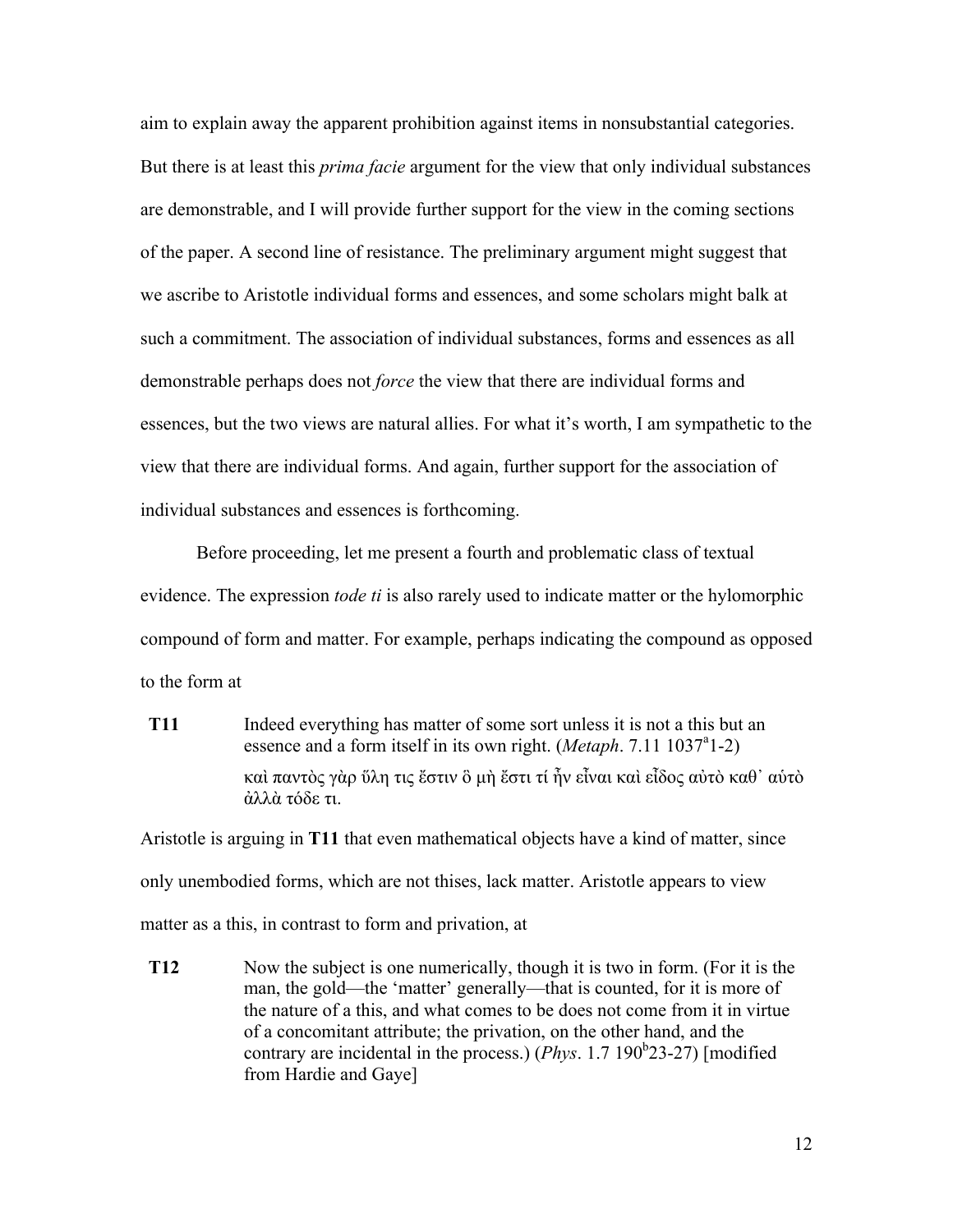aim to explain away the apparent prohibition against items in nonsubstantial categories. But there is at least this *prima facie* argument for the view that only individual substances are demonstrable, and I will provide further support for the view in the coming sections of the paper. A second line of resistance. The preliminary argument might suggest that we ascribe to Aristotle individual forms and essences, and some scholars might balk at such a commitment. The association of individual substances, forms and essences as all demonstrable perhaps does not *force* the view that there are individual forms and essences, but the two views are natural allies. For what it's worth, I am sympathetic to the view that there are individual forms. And again, further support for the association of individual substances and essences is forthcoming.

Before proceeding, let me present a fourth and problematic class of textual evidence. The expression *tode ti* is also rarely used to indicate matter or the hylomorphic compound of form and matter. For example, perhaps indicating the compound as opposed to the form at

**T11** Indeed everything has matter of some sort unless it is not a this but an essence and a form itself in its own right. (*Metaph*. 7.11 1037<sup>a</sup>1-2) καὶ παντὸς γὰρ ὕλη τις ἔστιν ὃ µὴ ἔστι τί ἦν εἶναι καὶ εἶδος αὐτὸ καθ᾽ αὑτὸ ἀλλὰ τόδε τι.

Aristotle is arguing in **T11** that even mathematical objects have a kind of matter, since only unembodied forms, which are not thises, lack matter. Aristotle appears to view matter as a this, in contrast to form and privation, at

**T12** Now the subject is one numerically, though it is two in form. (For it is the man, the gold—the 'matter' generally—that is counted, for it is more of the nature of a this, and what comes to be does not come from it in virtue of a concomitant attribute; the privation, on the other hand, and the contrary are incidental in the process.)  $(Phys. 1.7 190<sup>b</sup>23-27)$  [modified from Hardie and Gaye]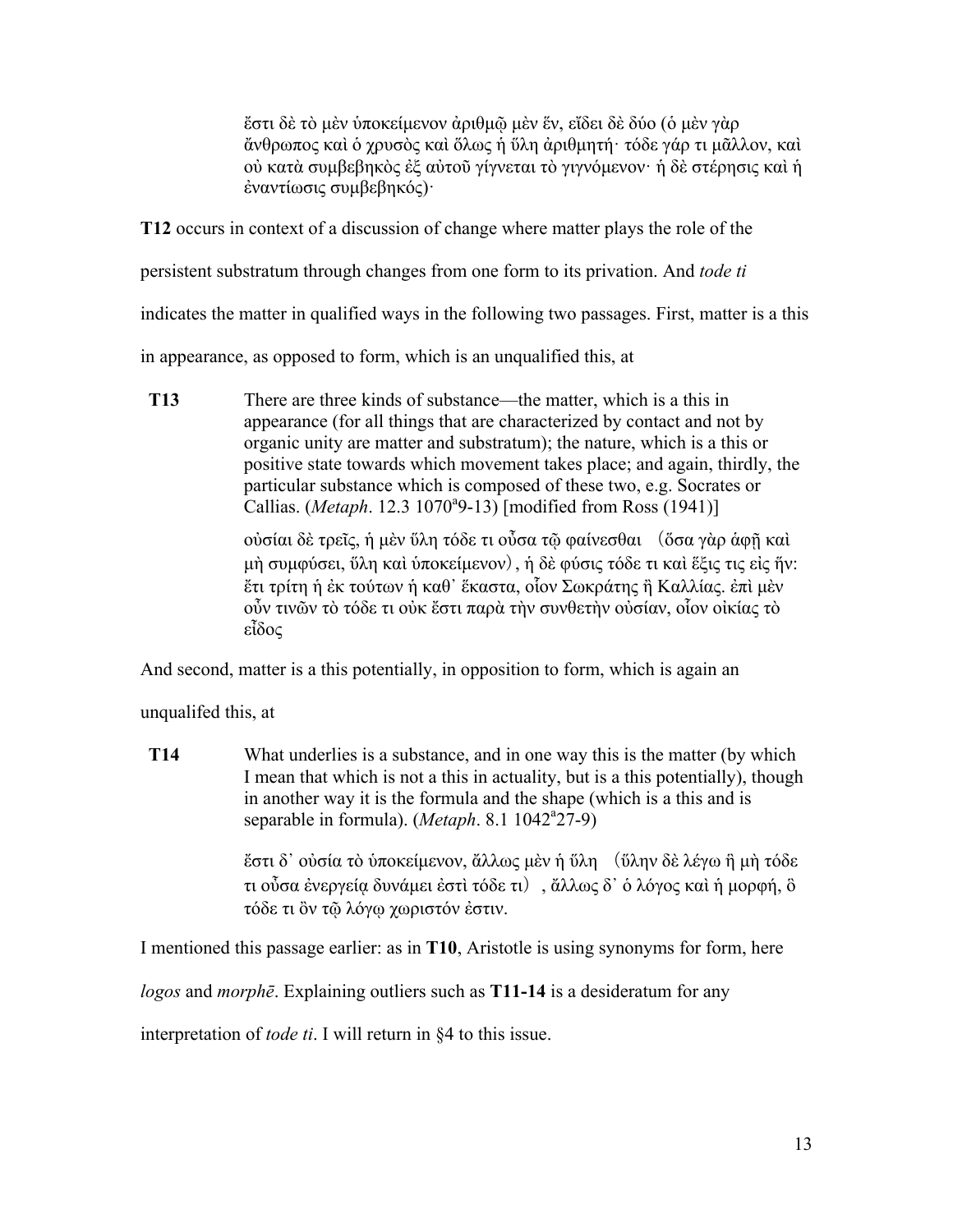ἔστι δὲ τὸ µὲν ὑποκείµενον ἀριθµῷ µὲν ἕν, εἴδει δὲ δύο (ὁ µὲν γὰρ ἄνθρωπος καὶ ὁ χρυσὸς καὶ ὅλως ἡ ὕλη ἀριθµητή· τόδε γάρ τι µᾶλλον, καὶ οὐ κατὰ συµβεβηκὸς ἐξ αὐτοῦ γίγνεται τὸ γιγνόµενον· ἡ δὲ στέρησις καὶ ἡ ἐναντίωσις συµβεβηκός)·

**T12** occurs in context of a discussion of change where matter plays the role of the

persistent substratum through changes from one form to its privation. And *tode ti*

indicates the matter in qualified ways in the following two passages. First, matter is a this

in appearance, as opposed to form, which is an unqualified this, at

**T13** There are three kinds of substance—the matter, which is a this in appearance (for all things that are characterized by contact and not by organic unity are matter and substratum); the nature, which is a this or positive state towards which movement takes place; and again, thirdly, the particular substance which is composed of these two, e.g. Socrates or Callias. (*Metaph.* 12.3 1070<sup>a</sup>9-13) [modified from Ross (1941)]

> οὐσίαι δὲ τρεῖς, ἡ µὲν ὕλη τόδε τι οὖσα τῷ φαίνεσθαι (ὅσα γὰρ ἁφῇ καὶ µὴ συµφύσει, ὕλη καὶ ὑποκείµενον), ἡ δὲ φύσις τόδε τι καὶ ἕξις τις εἰς ἥν: ἔτι τρίτη ἡ ἐκ τούτων ἡ καθ᾽ ἕκαστα, οἷον Σωκράτης ἢ Καλλίας. ἐπὶ µὲν οὖν τινῶν τὸ τόδε τι οὐκ ἔστι παρὰ τὴν συνθετὴν οὐσίαν, οἷον οἰκίας τὸ εἶδος

And second, matter is a this potentially, in opposition to form, which is again an

unqualifed this, at

**T14** What underlies is a substance, and in one way this is the matter (by which I mean that which is not a this in actuality, but is a this potentially), though in another way it is the formula and the shape (which is a this and is separable in formula). (Metaph. 8.1 1042<sup>a</sup>27-9)

> ἔστι δ᾽ οὐσία τὸ ὑποκείµενον, ἄλλως µὲν ἡ ὕλη (ὕλην δὲ λέγω ἣ µὴ τόδε τι οὖσα ἐνεργείᾳ δυνάµει ἐστὶ τόδε τι), ἄλλως δ᾽ ὁ λόγος καὶ ἡ µορφή, ὃ τόδε τι ὂν τῷ λόγῳ χωριστόν ἐστιν.

I mentioned this passage earlier: as in **T10**, Aristotle is using synonyms for form, here

*logos* and *morphē*. Explaining outliers such as **T11-14** is a desideratum for any

interpretation of *tode ti*. I will return in §4 to this issue.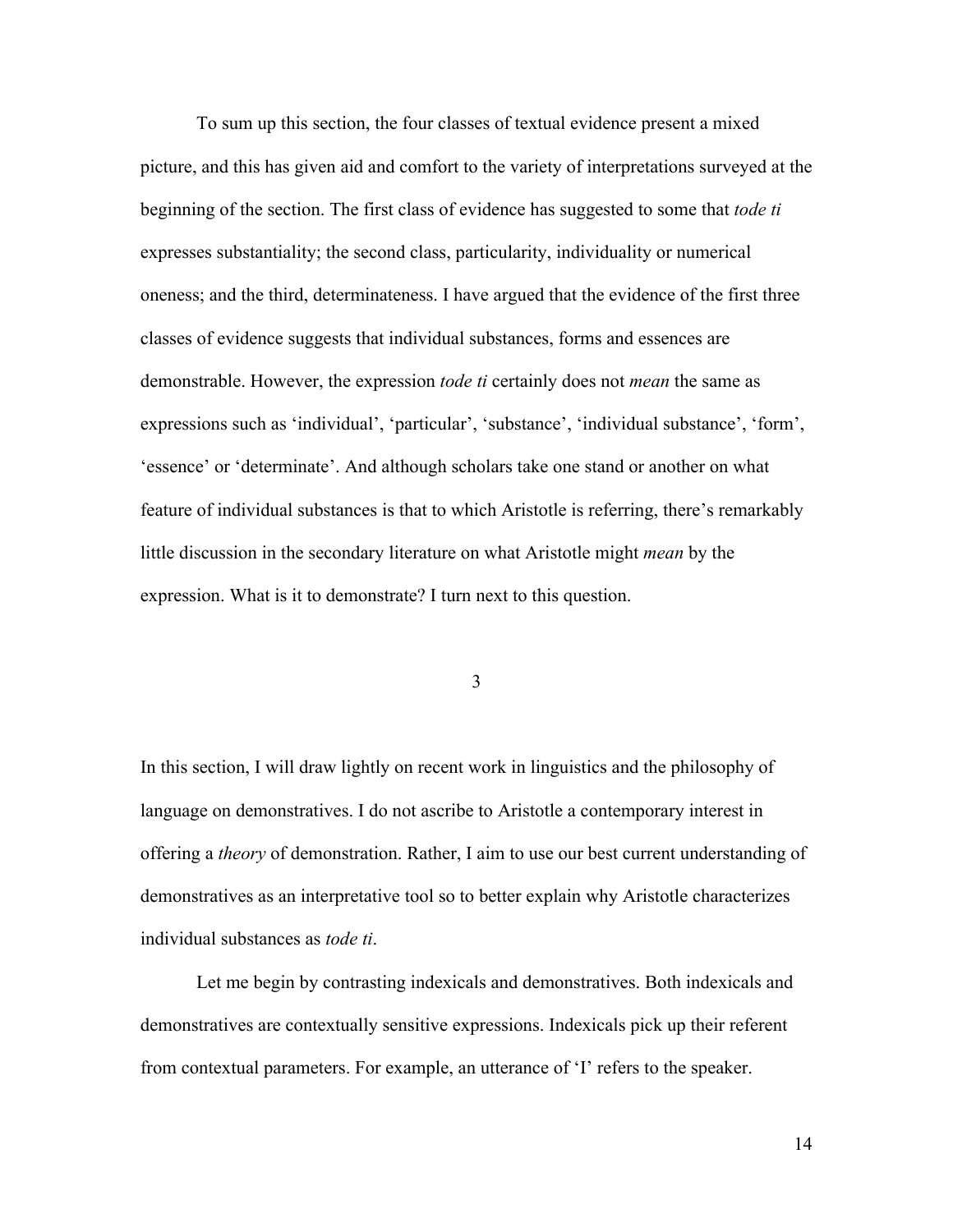To sum up this section, the four classes of textual evidence present a mixed picture, and this has given aid and comfort to the variety of interpretations surveyed at the beginning of the section. The first class of evidence has suggested to some that *tode ti* expresses substantiality; the second class, particularity, individuality or numerical oneness; and the third, determinateness. I have argued that the evidence of the first three classes of evidence suggests that individual substances, forms and essences are demonstrable. However, the expression *tode ti* certainly does not *mean* the same as expressions such as 'individual', 'particular', 'substance', 'individual substance', 'form', 'essence' or 'determinate'. And although scholars take one stand or another on what feature of individual substances is that to which Aristotle is referring, there's remarkably little discussion in the secondary literature on what Aristotle might *mean* by the expression. What is it to demonstrate? I turn next to this question.

3

In this section, I will draw lightly on recent work in linguistics and the philosophy of language on demonstratives. I do not ascribe to Aristotle a contemporary interest in offering a *theory* of demonstration. Rather, I aim to use our best current understanding of demonstratives as an interpretative tool so to better explain why Aristotle characterizes individual substances as *tode ti*.

Let me begin by contrasting indexicals and demonstratives. Both indexicals and demonstratives are contextually sensitive expressions. Indexicals pick up their referent from contextual parameters. For example, an utterance of 'I' refers to the speaker.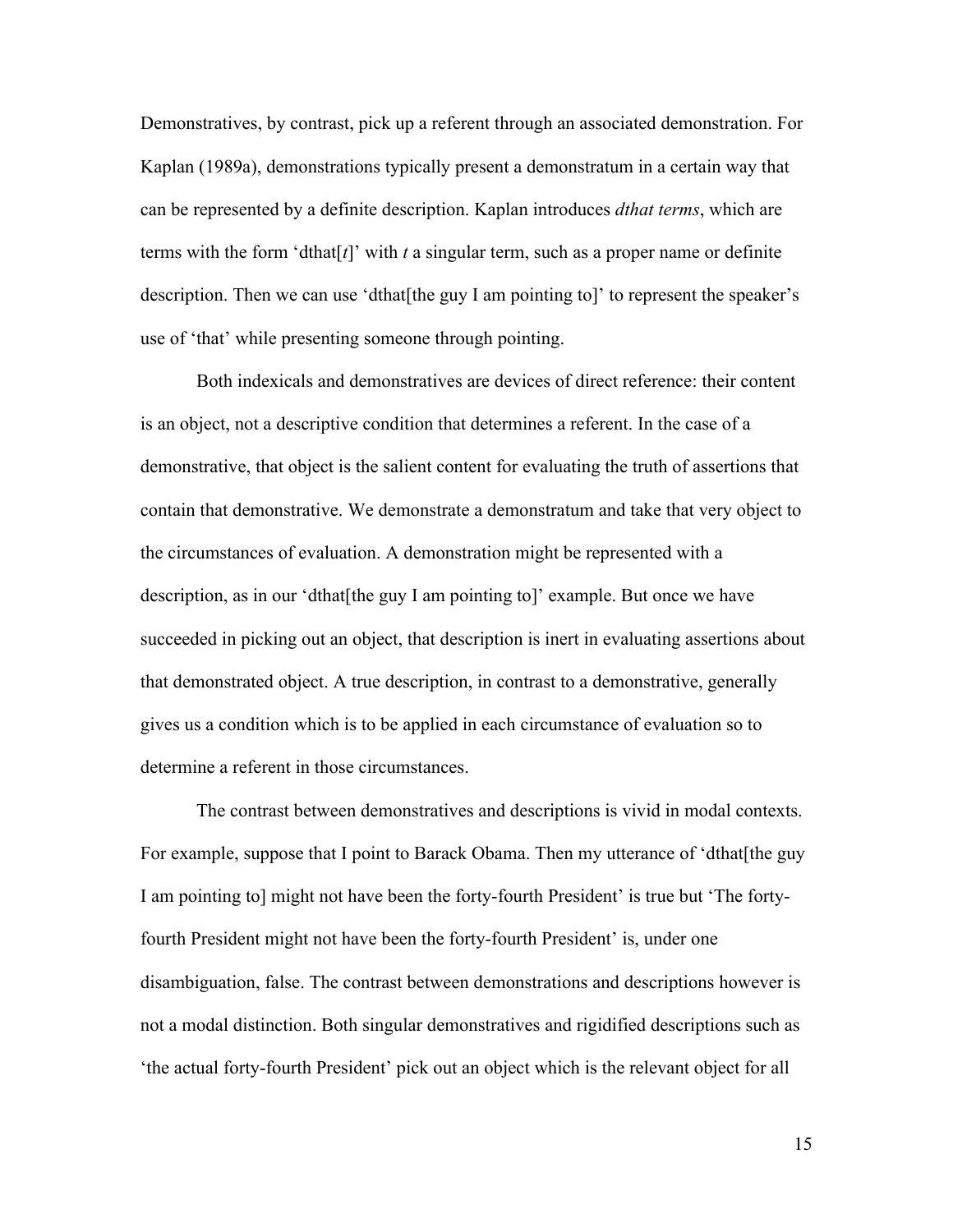Demonstratives, by contrast, pick up a referent through an associated demonstration. For Kaplan (1989a), demonstrations typically present a demonstratum in a certain way that can be represented by a definite description. Kaplan introduces *dthat terms*, which are terms with the form 'dthat[ $t$ ]' with  $t$  a singular term, such as a proper name or definite description. Then we can use 'dthat[the guy I am pointing to]' to represent the speaker's use of 'that' while presenting someone through pointing.

Both indexicals and demonstratives are devices of direct reference: their content is an object, not a descriptive condition that determines a referent. In the case of a demonstrative, that object is the salient content for evaluating the truth of assertions that contain that demonstrative. We demonstrate a demonstratum and take that very object to the circumstances of evaluation. A demonstration might be represented with a description, as in our 'dthat[the guy I am pointing to]' example. But once we have succeeded in picking out an object, that description is inert in evaluating assertions about that demonstrated object. A true description, in contrast to a demonstrative, generally gives us a condition which is to be applied in each circumstance of evaluation so to determine a referent in those circumstances.

The contrast between demonstratives and descriptions is vivid in modal contexts. For example, suppose that I point to Barack Obama. Then my utterance of 'dthat[the guy I am pointing to] might not have been the forty-fourth President' is true but 'The fortyfourth President might not have been the forty-fourth President' is, under one disambiguation, false. The contrast between demonstrations and descriptions however is not a modal distinction. Both singular demonstratives and rigidified descriptions such as 'the actual forty-fourth President' pick out an object which is the relevant object for all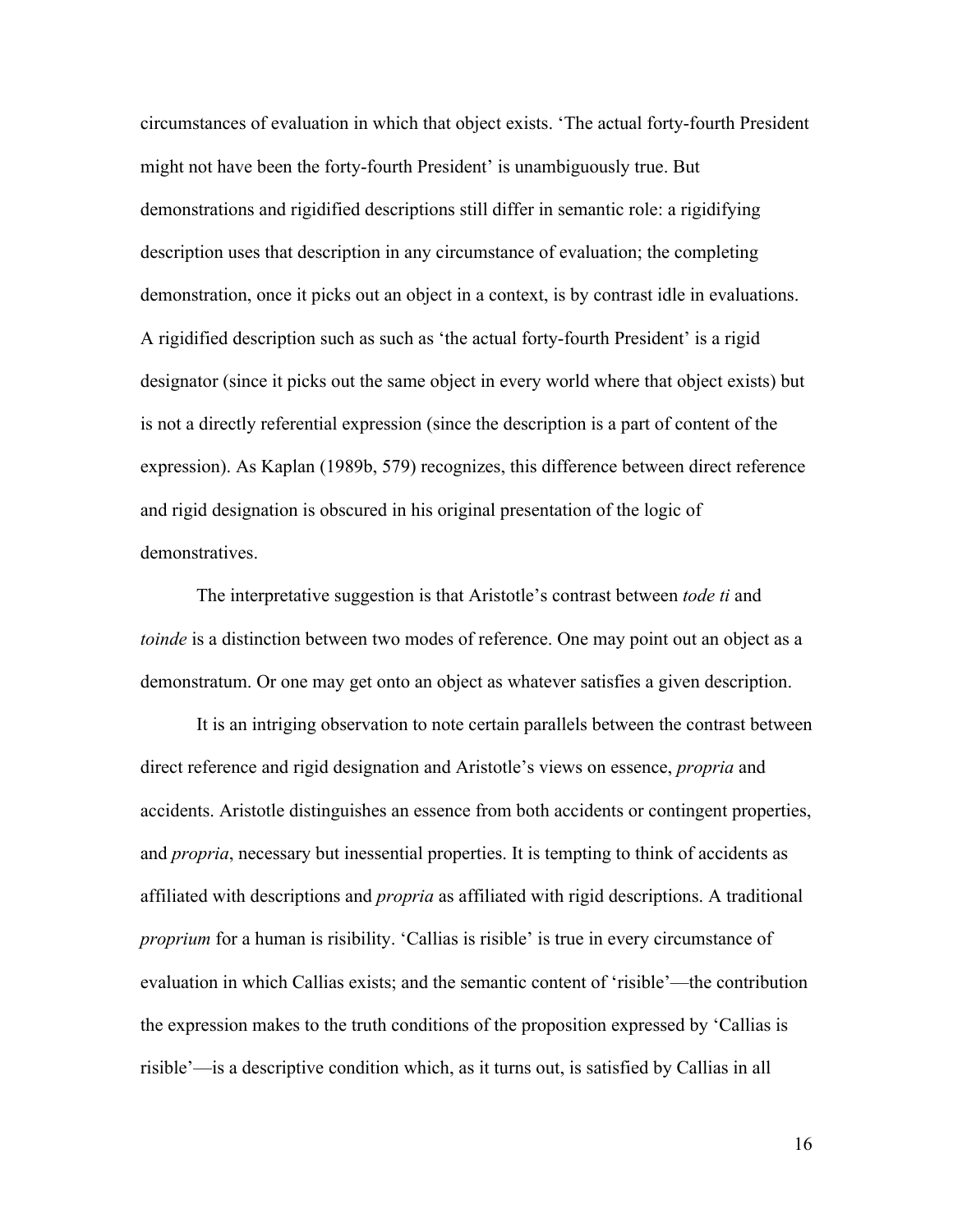circumstances of evaluation in which that object exists. 'The actual forty-fourth President might not have been the forty-fourth President' is unambiguously true. But demonstrations and rigidified descriptions still differ in semantic role: a rigidifying description uses that description in any circumstance of evaluation; the completing demonstration, once it picks out an object in a context, is by contrast idle in evaluations. A rigidified description such as such as 'the actual forty-fourth President' is a rigid designator (since it picks out the same object in every world where that object exists) but is not a directly referential expression (since the description is a part of content of the expression). As Kaplan (1989b, 579) recognizes, this difference between direct reference and rigid designation is obscured in his original presentation of the logic of demonstratives.

The interpretative suggestion is that Aristotle's contrast between *tode ti* and *toinde* is a distinction between two modes of reference. One may point out an object as a demonstratum. Or one may get onto an object as whatever satisfies a given description.

It is an intriging observation to note certain parallels between the contrast between direct reference and rigid designation and Aristotle's views on essence, *propria* and accidents. Aristotle distinguishes an essence from both accidents or contingent properties, and *propria*, necessary but inessential properties. It is tempting to think of accidents as affiliated with descriptions and *propria* as affiliated with rigid descriptions. A traditional *proprium* for a human is risibility. 'Callias is risible' is true in every circumstance of evaluation in which Callias exists; and the semantic content of 'risible'—the contribution the expression makes to the truth conditions of the proposition expressed by 'Callias is risible'—is a descriptive condition which, as it turns out, is satisfied by Callias in all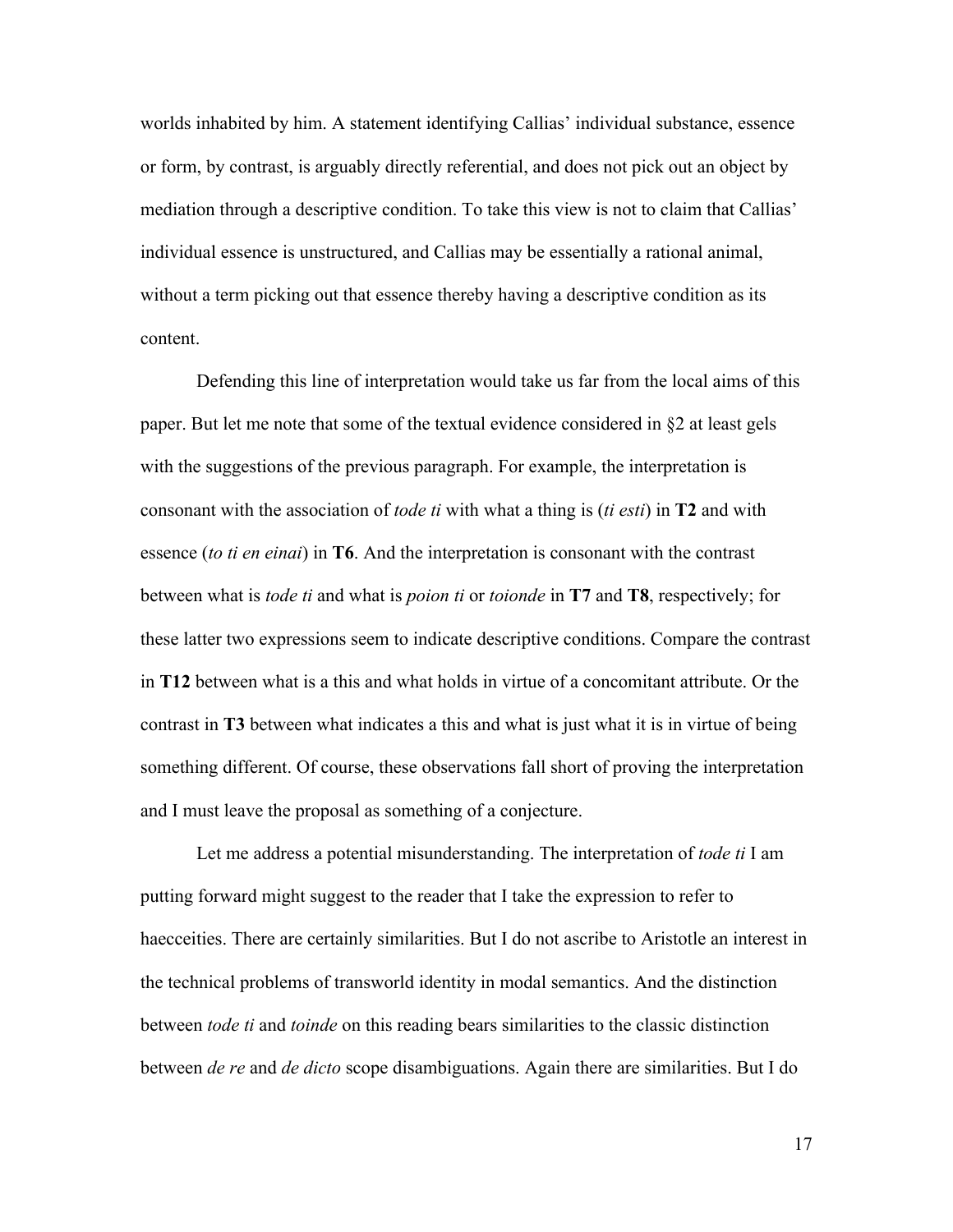worlds inhabited by him. A statement identifying Callias' individual substance, essence or form, by contrast, is arguably directly referential, and does not pick out an object by mediation through a descriptive condition. To take this view is not to claim that Callias' individual essence is unstructured, and Callias may be essentially a rational animal, without a term picking out that essence thereby having a descriptive condition as its content.

Defending this line of interpretation would take us far from the local aims of this paper. But let me note that some of the textual evidence considered in §2 at least gels with the suggestions of the previous paragraph. For example, the interpretation is consonant with the association of *tode ti* with what a thing is (*ti esti*) in **T2** and with essence (*to ti en einai*) in **T6**. And the interpretation is consonant with the contrast between what is *tode ti* and what is *poion ti* or *toionde* in **T7** and **T8**, respectively; for these latter two expressions seem to indicate descriptive conditions. Compare the contrast in **T12** between what is a this and what holds in virtue of a concomitant attribute. Or the contrast in **T3** between what indicates a this and what is just what it is in virtue of being something different. Of course, these observations fall short of proving the interpretation and I must leave the proposal as something of a conjecture.

Let me address a potential misunderstanding. The interpretation of *tode ti* I am putting forward might suggest to the reader that I take the expression to refer to haecceities. There are certainly similarities. But I do not ascribe to Aristotle an interest in the technical problems of transworld identity in modal semantics. And the distinction between *tode ti* and *toinde* on this reading bears similarities to the classic distinction between *de re* and *de dicto* scope disambiguations. Again there are similarities. But I do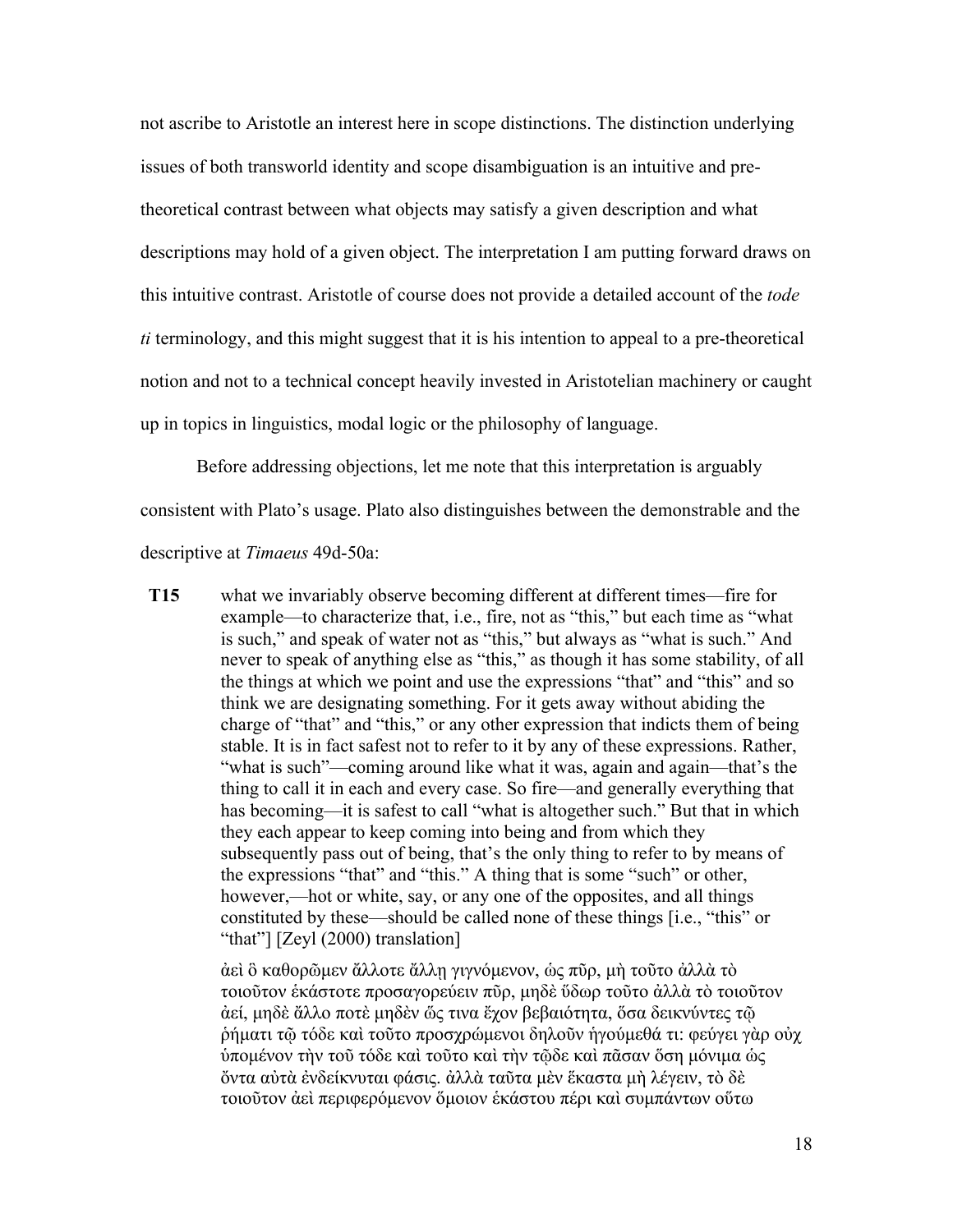not ascribe to Aristotle an interest here in scope distinctions. The distinction underlying issues of both transworld identity and scope disambiguation is an intuitive and pretheoretical contrast between what objects may satisfy a given description and what descriptions may hold of a given object. The interpretation I am putting forward draws on this intuitive contrast. Aristotle of course does not provide a detailed account of the *tode ti* terminology, and this might suggest that it is his intention to appeal to a pre-theoretical notion and not to a technical concept heavily invested in Aristotelian machinery or caught up in topics in linguistics, modal logic or the philosophy of language.

Before addressing objections, let me note that this interpretation is arguably consistent with Plato's usage. Plato also distinguishes between the demonstrable and the descriptive at *Timaeus* 49d-50a:

**T15** what we invariably observe becoming different at different times—fire for example—to characterize that, i.e., fire, not as "this," but each time as "what is such," and speak of water not as "this," but always as "what is such." And never to speak of anything else as "this," as though it has some stability, of all the things at which we point and use the expressions "that" and "this" and so think we are designating something. For it gets away without abiding the charge of "that" and "this," or any other expression that indicts them of being stable. It is in fact safest not to refer to it by any of these expressions. Rather, "what is such"—coming around like what it was, again and again—that's the thing to call it in each and every case. So fire—and generally everything that has becoming—it is safest to call "what is altogether such." But that in which they each appear to keep coming into being and from which they subsequently pass out of being, that's the only thing to refer to by means of the expressions "that" and "this." A thing that is some "such" or other, however,—hot or white, say, or any one of the opposites, and all things constituted by these—should be called none of these things [i.e., "this" or "that"] [Zeyl (2000) translation]

> ἀεὶ ὃ καθορῶµεν ἄλλοτε ἄλλῃ γιγνόµενον, ὡς πῦρ, µὴ τοῦτο ἀλλὰ τὸ τοιοῦτον ἑκάστοτε προσαγορεύειν πῦρ, µηδὲ ὕδωρ τοῦτο ἀλλὰ τὸ τοιοῦτον ἀεί, µηδὲ ἄλλο ποτὲ µηδὲν ὥς τινα ἔχον βεβαιότητα, ὅσα δεικνύντες τῷ ῥήµατι τῷ τόδε καὶ τοῦτο προσχρώµενοι δηλοῦν ἡγούµεθά τι: φεύγει γὰρ οὐχ ὑποµένον τὴν τοῦ τόδε καὶ τοῦτο καὶ τὴν τῷδε καὶ πᾶσαν ὅση µόνιµα ὡς ὄντα αὐτὰ ἐνδείκνυται φάσις. ἀλλὰ ταῦτα µὲν ἕκαστα µὴ λέγειν, τὸ δὲ τοιοῦτον ἀεὶ περιφερόµενον ὅµοιον ἑκάστου πέρι καὶ συµπάντων οὕτω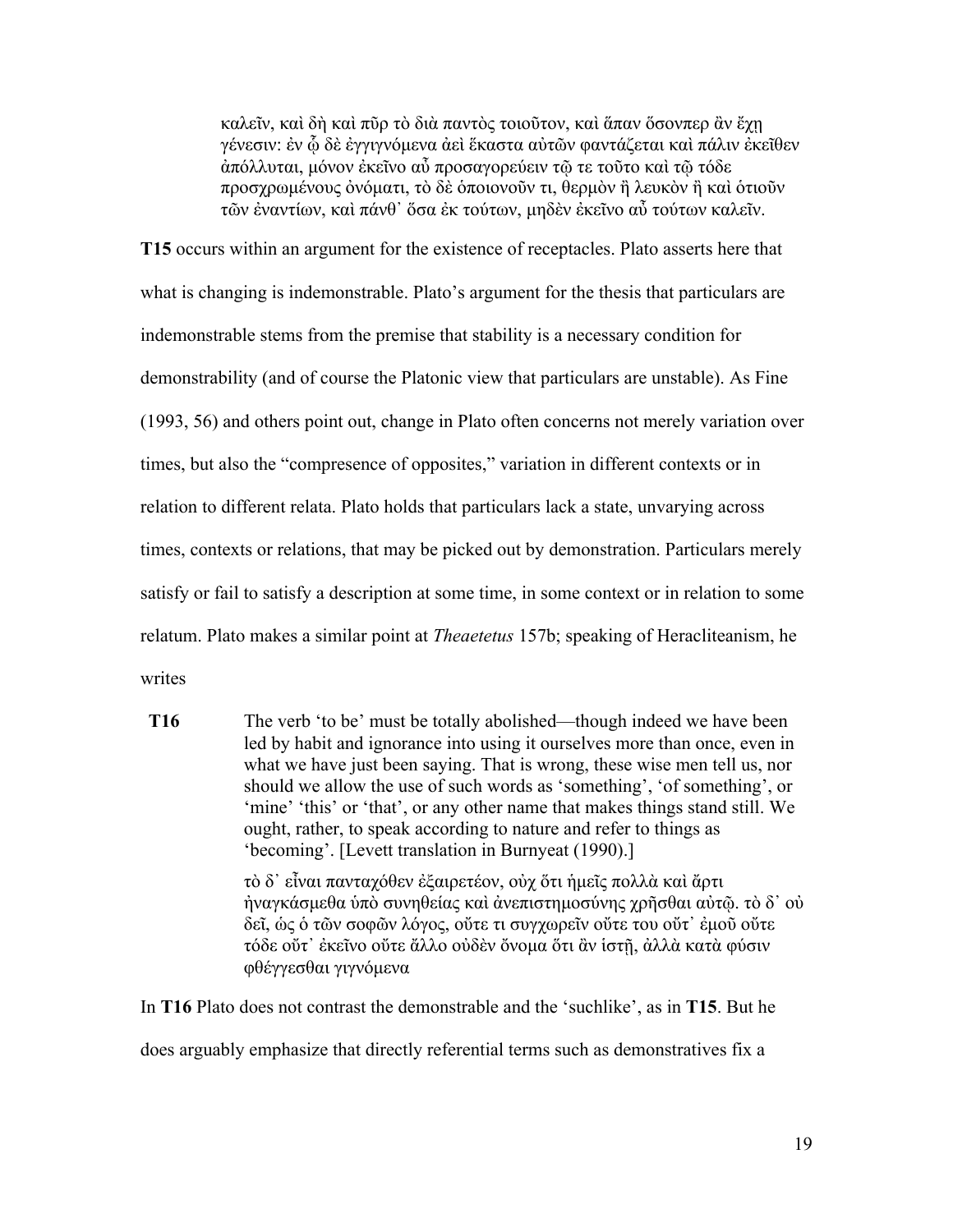καλεῖν, καὶ δὴ καὶ πῦρ τὸ διὰ παντὸς τοιοῦτον, καὶ ἅπαν ὅσονπερ ἂν ἔχῃ γένεσιν: ἐν ᾧ δὲ ἐγγιγνόµενα ἀεὶ ἕκαστα αὐτῶν φαντάζεται καὶ πάλιν ἐκεῖθεν ἀπόλλυται, µόνον ἐκεῖνο αὖ προσαγορεύειν τῷ τε τοῦτο καὶ τῷ τόδε προσχρωμένους ὀνόματι, τὸ δὲ ὁποιονοῦν τι, θερμὸν ἢ λευκὸν ἢ καὶ ὁτιοῦν τῶν ἐναντίων, καὶ πάνθ᾽ ὅσα ἐκ τούτων, µηδὲν ἐκεῖνο αὖ τούτων καλεῖν.

**T15** occurs within an argument for the existence of receptacles. Plato asserts here that what is changing is indemonstrable. Plato's argument for the thesis that particulars are indemonstrable stems from the premise that stability is a necessary condition for demonstrability (and of course the Platonic view that particulars are unstable). As Fine (1993, 56) and others point out, change in Plato often concerns not merely variation over times, but also the "compresence of opposites," variation in different contexts or in relation to different relata. Plato holds that particulars lack a state, unvarying across times, contexts or relations, that may be picked out by demonstration. Particulars merely satisfy or fail to satisfy a description at some time, in some context or in relation to some relatum. Plato makes a similar point at *Theaetetus* 157b; speaking of Heracliteanism, he writes

**T16** The verb 'to be' must be totally abolished—though indeed we have been led by habit and ignorance into using it ourselves more than once, even in what we have just been saying. That is wrong, these wise men tell us, nor should we allow the use of such words as 'something', 'of something', or 'mine' 'this' or 'that', or any other name that makes things stand still. We ought, rather, to speak according to nature and refer to things as 'becoming'. [Levett translation in Burnyeat (1990).] τὸ δ᾽ εἶναι πανταχόθεν ἐξαιρετέον, οὐχ ὅτι ἡµεῖς πολλὰ καὶ ἄρτι ἠναγκάσµεθα ὑπὸ συνηθείας καὶ ἀνεπιστηµοσύνης χρῆσθαι αὐτῷ. τὸ δ᾽ οὐ

δεῖ, ὡς ὁ τῶν σοφῶν λόγος, οὔτε τι συγχωρεῖν οὔτε του οὔτ᾽ ἐµοῦ οὔτε τόδε οὔτ᾽ ἐκεῖνο οὔτε ἄλλο οὐδὲν ὄνοµα ὅτι ἂν ἱστῇ, ἀλλὰ κατὰ φύσιν φθέγγεσθαι γιγνόµενα

In **T16** Plato does not contrast the demonstrable and the 'suchlike', as in **T15**. But he does arguably emphasize that directly referential terms such as demonstratives fix a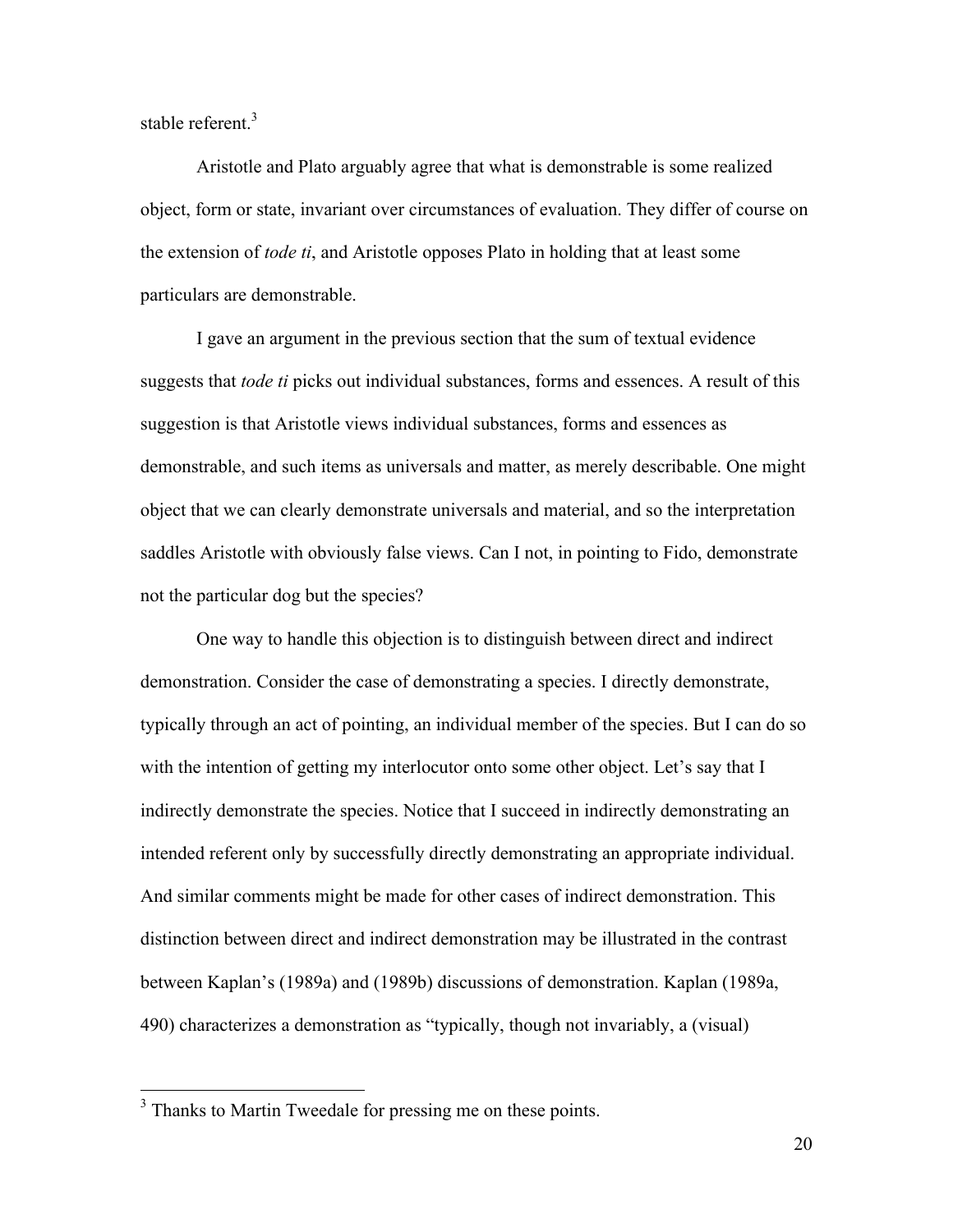stable referent  $3$ 

Aristotle and Plato arguably agree that what is demonstrable is some realized object, form or state, invariant over circumstances of evaluation. They differ of course on the extension of *tode ti*, and Aristotle opposes Plato in holding that at least some particulars are demonstrable.

I gave an argument in the previous section that the sum of textual evidence suggests that *tode ti* picks out individual substances, forms and essences. A result of this suggestion is that Aristotle views individual substances, forms and essences as demonstrable, and such items as universals and matter, as merely describable. One might object that we can clearly demonstrate universals and material, and so the interpretation saddles Aristotle with obviously false views. Can I not, in pointing to Fido, demonstrate not the particular dog but the species?

One way to handle this objection is to distinguish between direct and indirect demonstration. Consider the case of demonstrating a species. I directly demonstrate, typically through an act of pointing, an individual member of the species. But I can do so with the intention of getting my interlocutor onto some other object. Let's say that I indirectly demonstrate the species. Notice that I succeed in indirectly demonstrating an intended referent only by successfully directly demonstrating an appropriate individual. And similar comments might be made for other cases of indirect demonstration. This distinction between direct and indirect demonstration may be illustrated in the contrast between Kaplan's (1989a) and (1989b) discussions of demonstration. Kaplan (1989a, 490) characterizes a demonstration as "typically, though not invariably, a (visual)

<sup>&</sup>lt;sup>3</sup> Thanks to Martin Tweedale for pressing me on these points.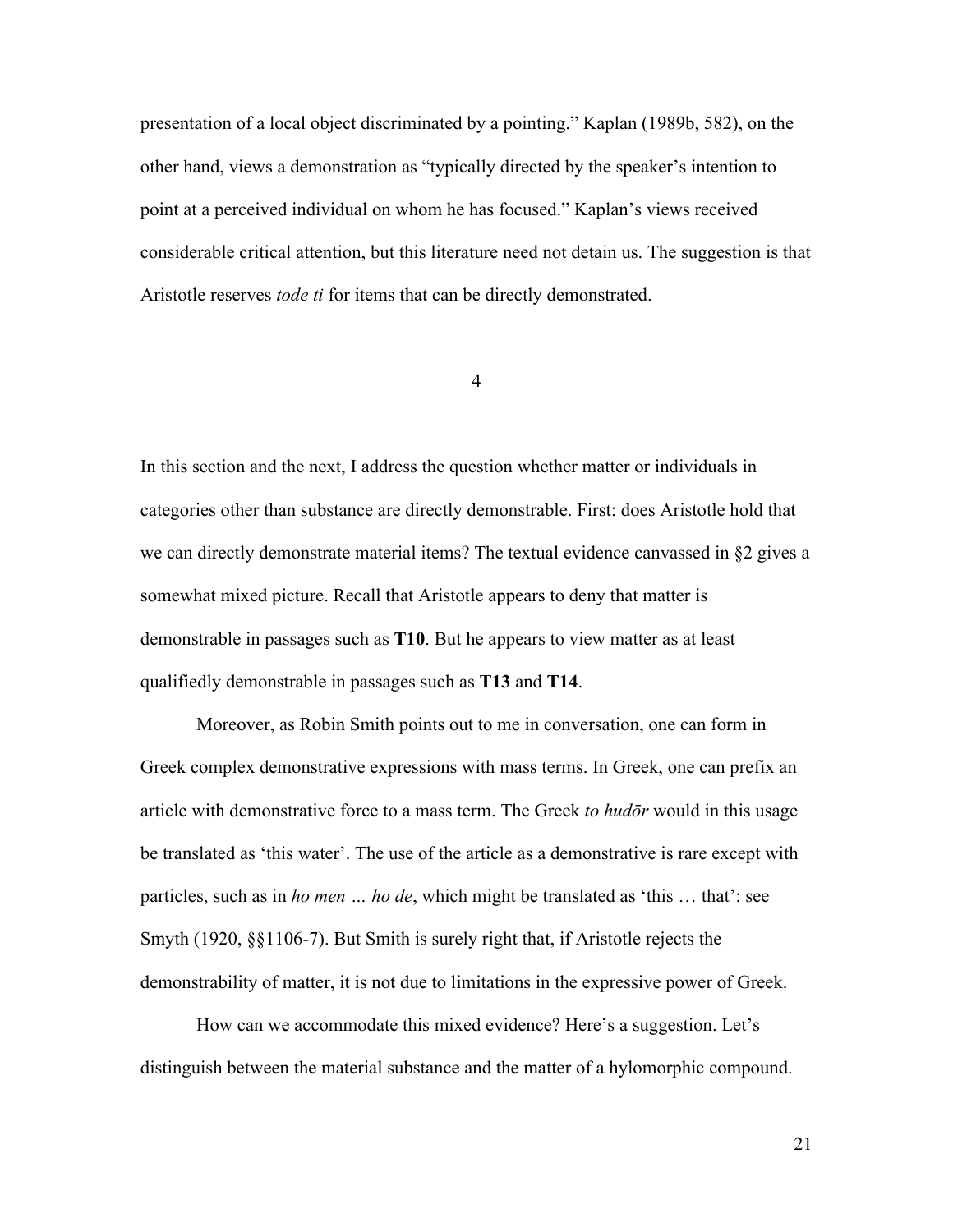presentation of a local object discriminated by a pointing." Kaplan (1989b, 582), on the other hand, views a demonstration as "typically directed by the speaker's intention to point at a perceived individual on whom he has focused." Kaplan's views received considerable critical attention, but this literature need not detain us. The suggestion is that Aristotle reserves *tode ti* for items that can be directly demonstrated.

4

In this section and the next, I address the question whether matter or individuals in categories other than substance are directly demonstrable. First: does Aristotle hold that we can directly demonstrate material items? The textual evidence canvassed in §2 gives a somewhat mixed picture. Recall that Aristotle appears to deny that matter is demonstrable in passages such as **T10**. But he appears to view matter as at least qualifiedly demonstrable in passages such as **T13** and **T14**.

Moreover, as Robin Smith points out to me in conversation, one can form in Greek complex demonstrative expressions with mass terms. In Greek, one can prefix an article with demonstrative force to a mass term. The Greek *to hudōr* would in this usage be translated as 'this water'. The use of the article as a demonstrative is rare except with particles, such as in *ho men … ho de*, which might be translated as 'this … that': see Smyth (1920, §§1106-7). But Smith is surely right that, if Aristotle rejects the demonstrability of matter, it is not due to limitations in the expressive power of Greek.

How can we accommodate this mixed evidence? Here's a suggestion. Let's distinguish between the material substance and the matter of a hylomorphic compound.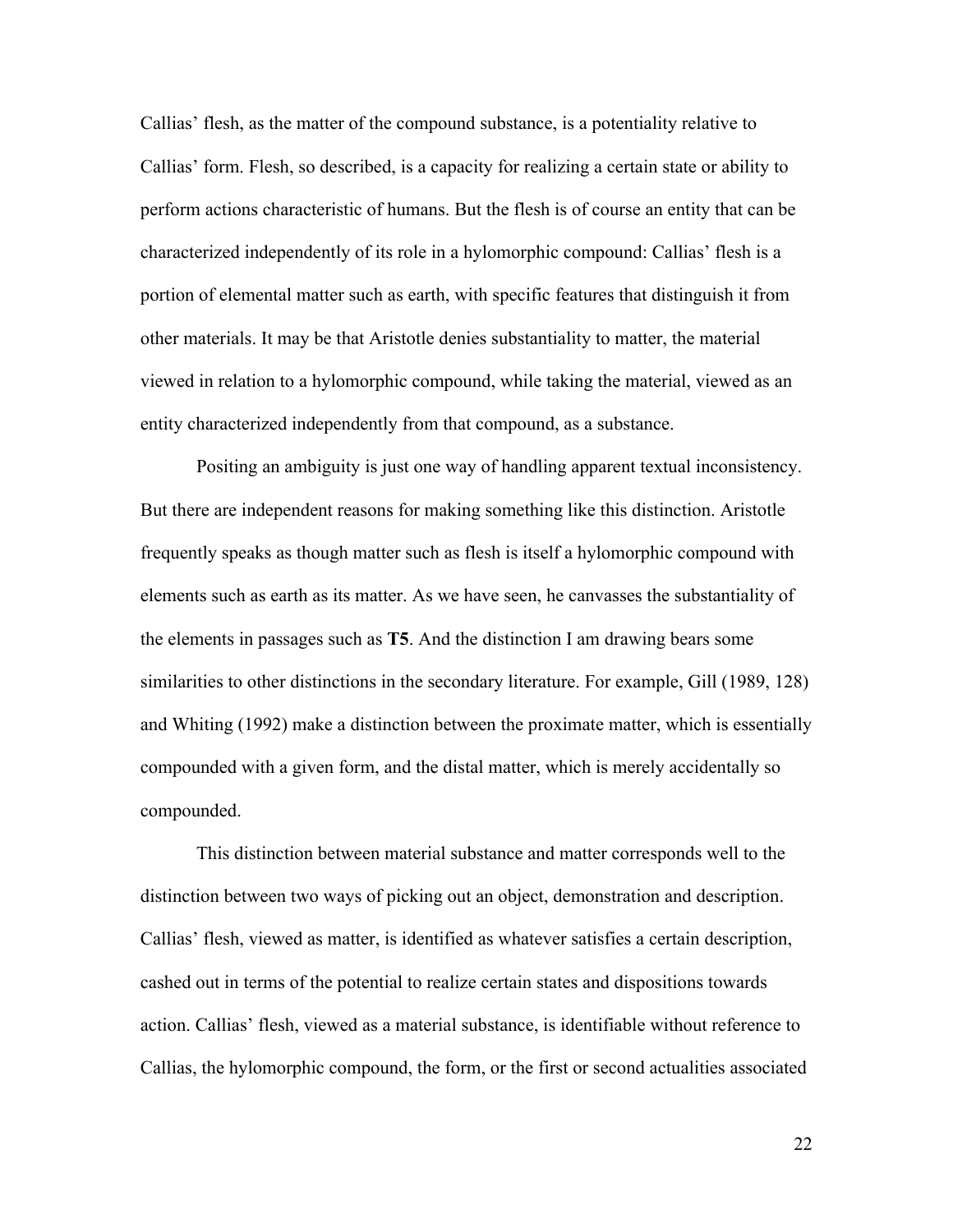Callias' flesh, as the matter of the compound substance, is a potentiality relative to Callias' form. Flesh, so described, is a capacity for realizing a certain state or ability to perform actions characteristic of humans. But the flesh is of course an entity that can be characterized independently of its role in a hylomorphic compound: Callias' flesh is a portion of elemental matter such as earth, with specific features that distinguish it from other materials. It may be that Aristotle denies substantiality to matter, the material viewed in relation to a hylomorphic compound, while taking the material, viewed as an entity characterized independently from that compound, as a substance.

Positing an ambiguity is just one way of handling apparent textual inconsistency. But there are independent reasons for making something like this distinction. Aristotle frequently speaks as though matter such as flesh is itself a hylomorphic compound with elements such as earth as its matter. As we have seen, he canvasses the substantiality of the elements in passages such as **T5**. And the distinction I am drawing bears some similarities to other distinctions in the secondary literature. For example, Gill (1989, 128) and Whiting (1992) make a distinction between the proximate matter, which is essentially compounded with a given form, and the distal matter, which is merely accidentally so compounded.

This distinction between material substance and matter corresponds well to the distinction between two ways of picking out an object, demonstration and description. Callias' flesh, viewed as matter, is identified as whatever satisfies a certain description, cashed out in terms of the potential to realize certain states and dispositions towards action. Callias' flesh, viewed as a material substance, is identifiable without reference to Callias, the hylomorphic compound, the form, or the first or second actualities associated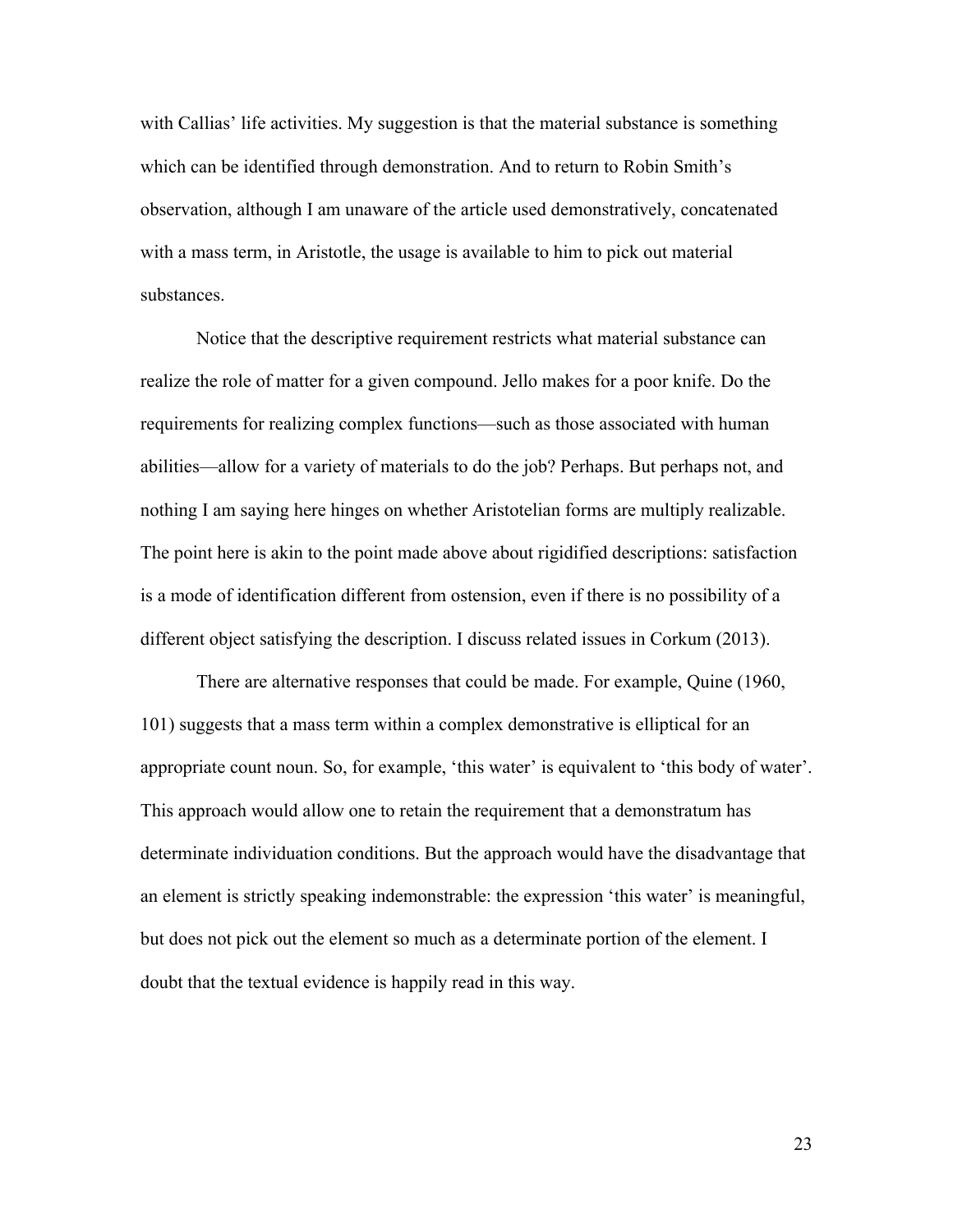with Callias' life activities. My suggestion is that the material substance is something which can be identified through demonstration. And to return to Robin Smith's observation, although I am unaware of the article used demonstratively, concatenated with a mass term, in Aristotle, the usage is available to him to pick out material substances.

Notice that the descriptive requirement restricts what material substance can realize the role of matter for a given compound. Jello makes for a poor knife. Do the requirements for realizing complex functions—such as those associated with human abilities—allow for a variety of materials to do the job? Perhaps. But perhaps not, and nothing I am saying here hinges on whether Aristotelian forms are multiply realizable. The point here is akin to the point made above about rigidified descriptions: satisfaction is a mode of identification different from ostension, even if there is no possibility of a different object satisfying the description. I discuss related issues in Corkum (2013).

There are alternative responses that could be made. For example, Quine (1960, 101) suggests that a mass term within a complex demonstrative is elliptical for an appropriate count noun. So, for example, 'this water' is equivalent to 'this body of water'. This approach would allow one to retain the requirement that a demonstratum has determinate individuation conditions. But the approach would have the disadvantage that an element is strictly speaking indemonstrable: the expression 'this water' is meaningful, but does not pick out the element so much as a determinate portion of the element. I doubt that the textual evidence is happily read in this way.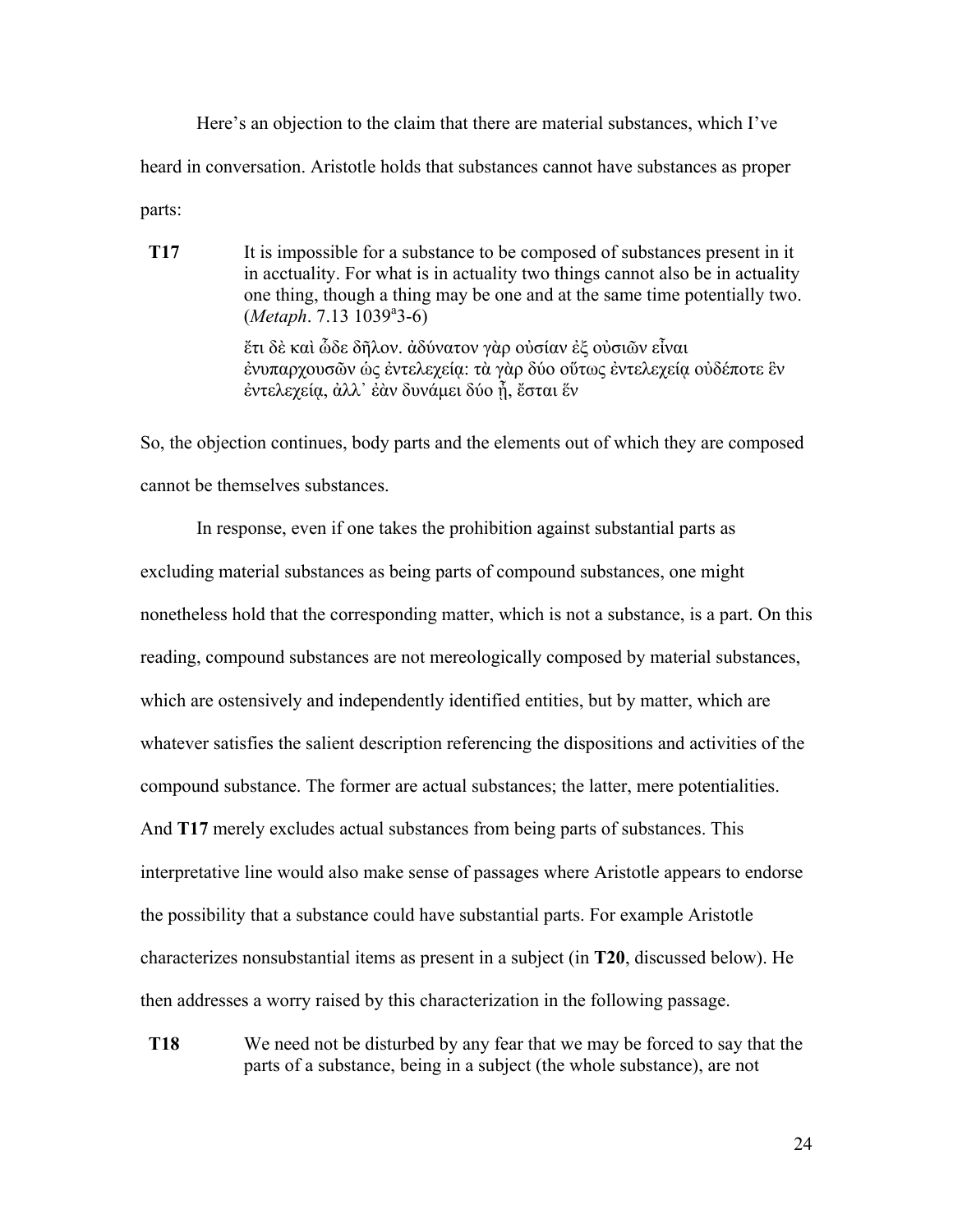Here's an objection to the claim that there are material substances, which I've heard in conversation. Aristotle holds that substances cannot have substances as proper parts:

**T17** It is impossible for a substance to be composed of substances present in it in acctuality. For what is in actuality two things cannot also be in actuality one thing, though a thing may be one and at the same time potentially two. (Metaph. 7.13 1039<sup>a</sup>3-6) ἔτι δὲ καὶ ὧδε δῆλον. ἀδύνατον γὰρ οὐσίαν ἐξ οὐσιῶν εἶναι ἐνυπαρχουσῶν ὡς ἐντελεχείᾳ: τὰ γὰρ δύο οὕτως ἐντελεχείᾳ οὐδέποτε ἓν έντελεχεία, άλλ' έὰν δυνάμει δύο ἦ, ἔσται ἕν

So, the objection continues, body parts and the elements out of which they are composed cannot be themselves substances.

In response, even if one takes the prohibition against substantial parts as excluding material substances as being parts of compound substances, one might nonetheless hold that the corresponding matter, which is not a substance, is a part. On this reading, compound substances are not mereologically composed by material substances, which are ostensively and independently identified entities, but by matter, which are whatever satisfies the salient description referencing the dispositions and activities of the compound substance. The former are actual substances; the latter, mere potentialities. And **T17** merely excludes actual substances from being parts of substances. This interpretative line would also make sense of passages where Aristotle appears to endorse the possibility that a substance could have substantial parts. For example Aristotle characterizes nonsubstantial items as present in a subject (in **T20**, discussed below). He then addresses a worry raised by this characterization in the following passage.

**T18** We need not be disturbed by any fear that we may be forced to say that the parts of a substance, being in a subject (the whole substance), are not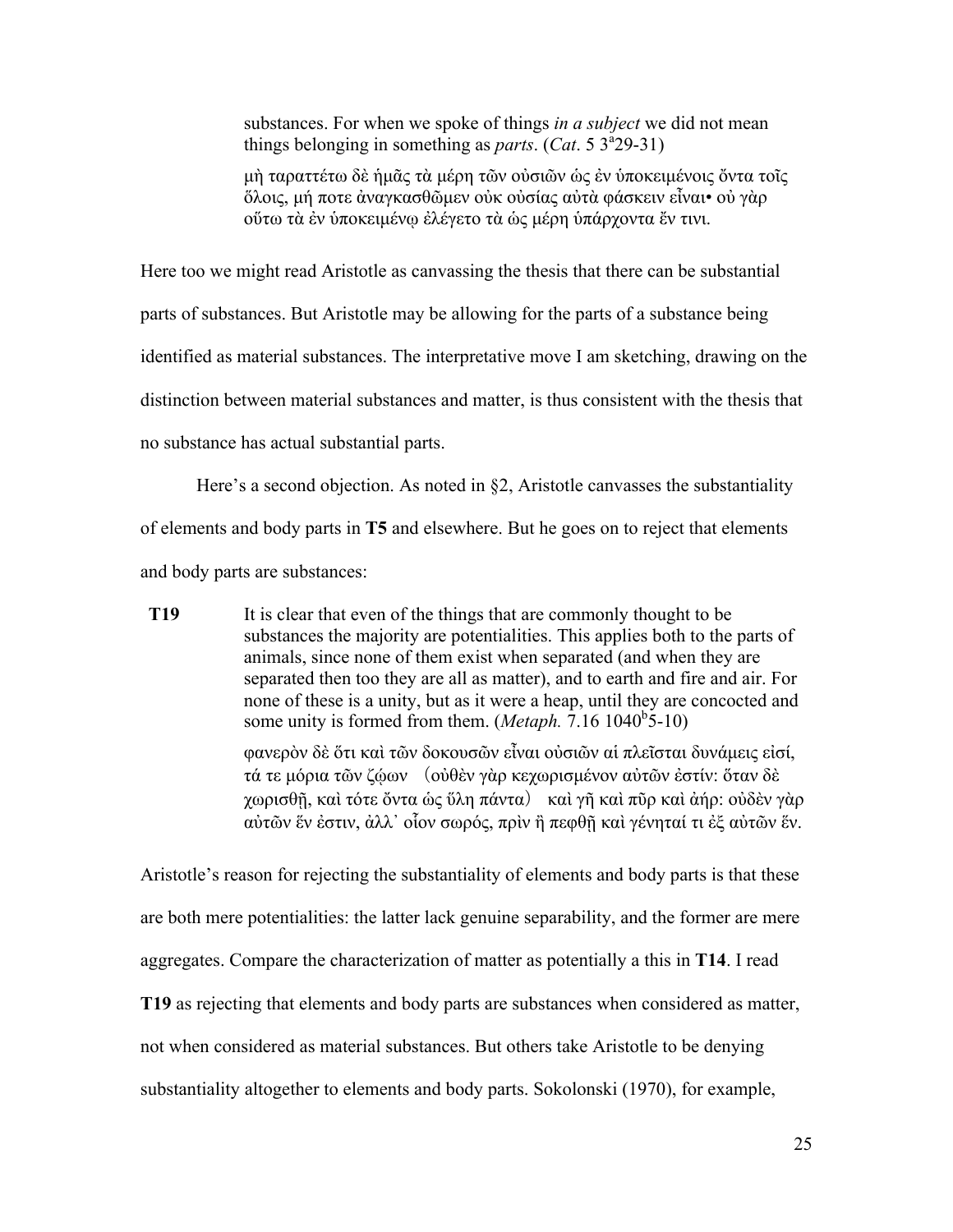substances. For when we spoke of things *in a subject* we did not mean things belonging in something as *parts*. (*Cat.* 5  $3<sup>3</sup>29-31$ )

µὴ ταραττέτω δὲ ἡµᾶς τὰ µέρη τῶν οὐσιῶν ὡς ἐν ὑποκειµένοις ὄντα τοῖς ὅλοις, µή ποτε ἀναγκασθῶµεν οὐκ οὐσίας αὐτὰ φάσκειν εἶναι• οὐ γὰρ οὕτω τὰ ἐν ὑποκειµένῳ ἐλέγετο τὰ ὡς µέρη ὑπάρχοντα ἔν τινι.

Here too we might read Aristotle as canvassing the thesis that there can be substantial parts of substances. But Aristotle may be allowing for the parts of a substance being identified as material substances. The interpretative move I am sketching, drawing on the distinction between material substances and matter, is thus consistent with the thesis that no substance has actual substantial parts.

Here's a second objection. As noted in §2, Aristotle canvasses the substantiality of elements and body parts in **T5** and elsewhere. But he goes on to reject that elements and body parts are substances:

**T19** It is clear that even of the things that are commonly thought to be substances the majority are potentialities. This applies both to the parts of animals, since none of them exist when separated (and when they are separated then too they are all as matter), and to earth and fire and air. For none of these is a unity, but as it were a heap, until they are concocted and some unity is formed from them. (*Metaph.*  $7.16 \, 1040^b$ 5-10) φανερὸν δὲ ὅτι καὶ τῶν δοκουσῶν εἶναι οὐσιῶν αἱ πλεῖσται δυνάµεις εἰσί, τά τε µόρια τῶν ζῴων (οὐθὲν γὰρ κεχωρισµένον αὐτῶν ἐστίν: ὅταν δὲ χωρισθῇ, καὶ τότε ὄντα ὡς ὕλη πάντα) καὶ γῆ καὶ πῦρ καὶ ἀήρ: οὐδὲν γὰρ αὐτῶν ἕν ἐστιν, ἀλλ᾽ οἷον σωρός, πρὶν ἢ πεφθῇ καὶ γένηταί τι ἐξ αὐτῶν ἕν.

Aristotle's reason for rejecting the substantiality of elements and body parts is that these are both mere potentialities: the latter lack genuine separability, and the former are mere aggregates. Compare the characterization of matter as potentially a this in **T14**. I read **T19** as rejecting that elements and body parts are substances when considered as matter, not when considered as material substances. But others take Aristotle to be denying substantiality altogether to elements and body parts. Sokolonski (1970), for example,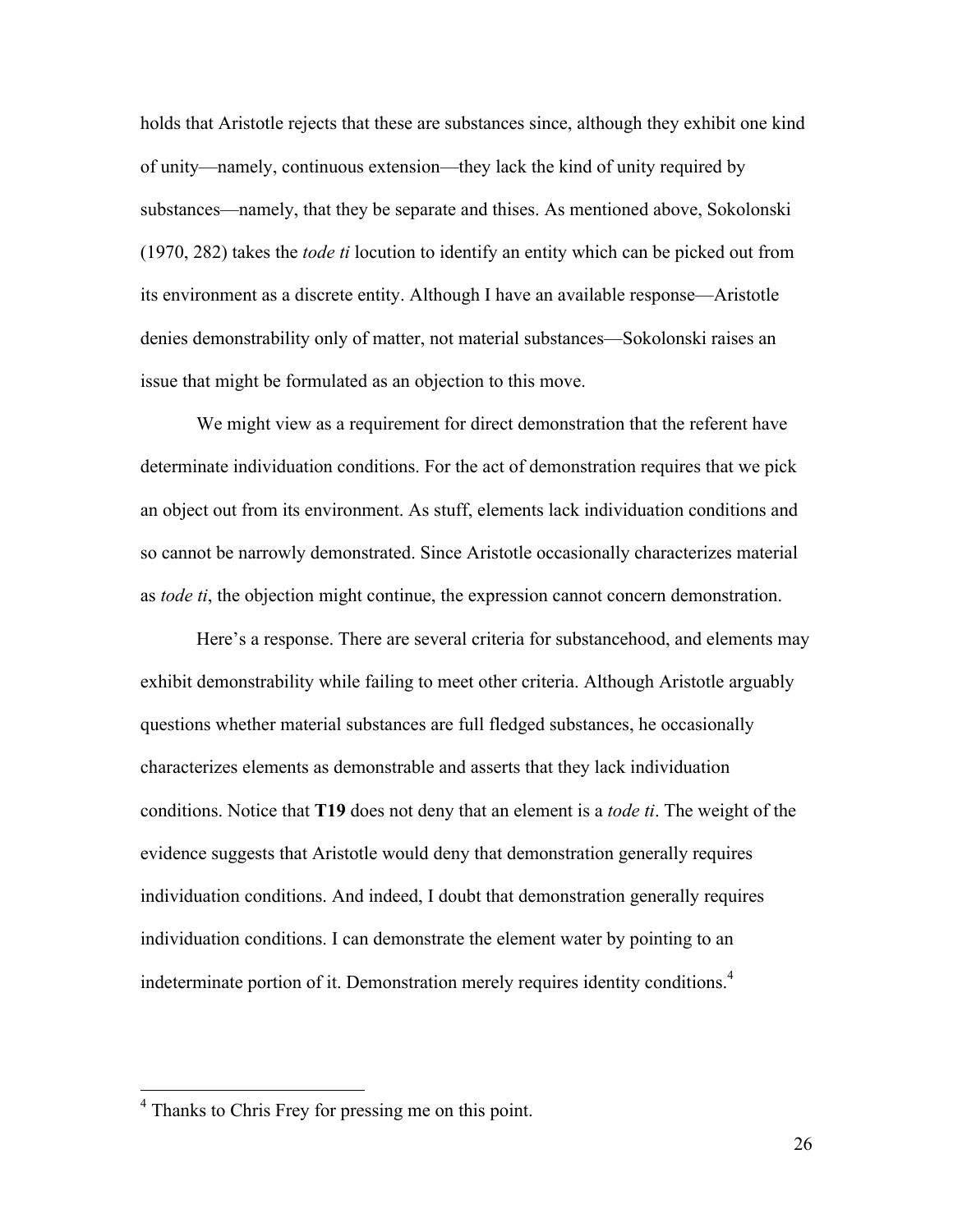holds that Aristotle rejects that these are substances since, although they exhibit one kind of unity—namely, continuous extension—they lack the kind of unity required by substances—namely, that they be separate and thises. As mentioned above, Sokolonski (1970, 282) takes the *tode ti* locution to identify an entity which can be picked out from its environment as a discrete entity. Although I have an available response—Aristotle denies demonstrability only of matter, not material substances—Sokolonski raises an issue that might be formulated as an objection to this move.

We might view as a requirement for direct demonstration that the referent have determinate individuation conditions. For the act of demonstration requires that we pick an object out from its environment. As stuff, elements lack individuation conditions and so cannot be narrowly demonstrated. Since Aristotle occasionally characterizes material as *tode ti*, the objection might continue, the expression cannot concern demonstration.

Here's a response. There are several criteria for substancehood, and elements may exhibit demonstrability while failing to meet other criteria. Although Aristotle arguably questions whether material substances are full fledged substances, he occasionally characterizes elements as demonstrable and asserts that they lack individuation conditions. Notice that **T19** does not deny that an element is a *tode ti*. The weight of the evidence suggests that Aristotle would deny that demonstration generally requires individuation conditions. And indeed, I doubt that demonstration generally requires individuation conditions. I can demonstrate the element water by pointing to an indeterminate portion of it. Demonstration merely requires identity conditions.<sup>4</sup>

 <sup>4</sup> Thanks to Chris Frey for pressing me on this point.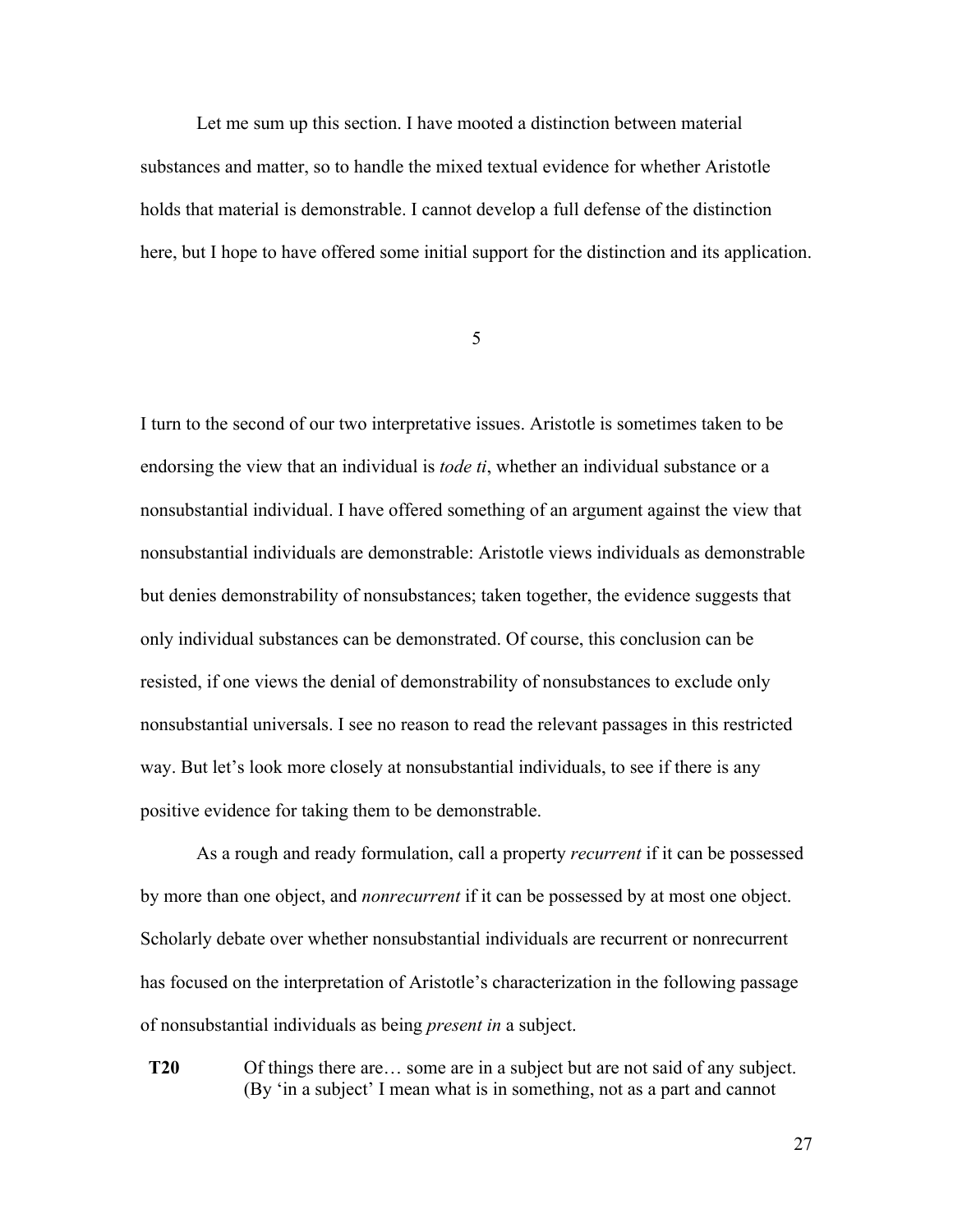Let me sum up this section. I have mooted a distinction between material substances and matter, so to handle the mixed textual evidence for whether Aristotle holds that material is demonstrable. I cannot develop a full defense of the distinction here, but I hope to have offered some initial support for the distinction and its application.

5

I turn to the second of our two interpretative issues. Aristotle is sometimes taken to be endorsing the view that an individual is *tode ti*, whether an individual substance or a nonsubstantial individual. I have offered something of an argument against the view that nonsubstantial individuals are demonstrable: Aristotle views individuals as demonstrable but denies demonstrability of nonsubstances; taken together, the evidence suggests that only individual substances can be demonstrated. Of course, this conclusion can be resisted, if one views the denial of demonstrability of nonsubstances to exclude only nonsubstantial universals. I see no reason to read the relevant passages in this restricted way. But let's look more closely at nonsubstantial individuals, to see if there is any positive evidence for taking them to be demonstrable.

As a rough and ready formulation, call a property *recurrent* if it can be possessed by more than one object, and *nonrecurrent* if it can be possessed by at most one object. Scholarly debate over whether nonsubstantial individuals are recurrent or nonrecurrent has focused on the interpretation of Aristotle's characterization in the following passage of nonsubstantial individuals as being *present in* a subject.

**T20** Of things there are… some are in a subject but are not said of any subject. (By 'in a subject' I mean what is in something, not as a part and cannot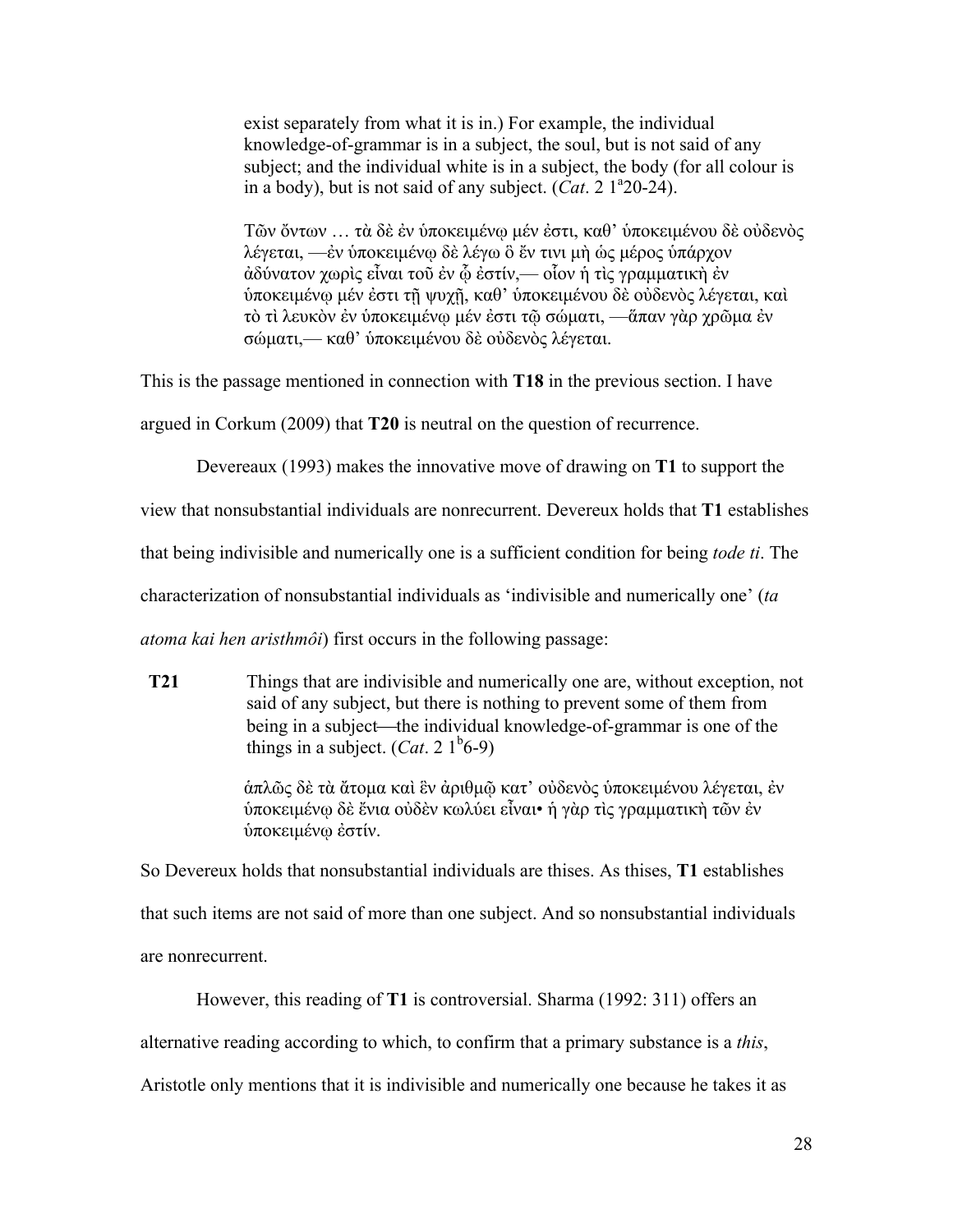exist separately from what it is in.) For example, the individual knowledge-of-grammar is in a subject, the soul, but is not said of any subject; and the individual white is in a subject, the body (for all colour is in a body), but is not said of any subject.  $(Cat. 2 1^220-24)$ .

Τῶν ὄντων … τὰ δὲ ἐν ὑποκειµένῳ µέν ἐστι, καθ' ὑποκειµένου δὲ οὐδενὸς λέγεται, —ἐν ὑποκειµένῳ δὲ λέγω ὃ ἔν τινι µὴ ὡς µέρος ὑπάρχον ἀδύνατον χωρὶς εἶναι τοῦ ἐν ᾧ ἐστίν,— οἷον ἡ τὶς γραµµατικὴ ἐν ὑποκειµένῳ µέν ἐστι τῇ ψυχῇ, καθ' ὑποκειµένου δὲ οὐδενὸς λέγεται, καὶ τὸ τὶ λευκὸν ἐν ὑποκειµένῳ µέν ἐστι τῷ σώµατι, —ἅπαν γὰρ χρῶµα ἐν σώµατι,— καθ' ὑποκειµένου δὲ οὐδενὸς λέγεται.

This is the passage mentioned in connection with **T18** in the previous section. I have

argued in Corkum (2009) that **T20** is neutral on the question of recurrence.

Devereaux (1993) makes the innovative move of drawing on **T1** to support the

view that nonsubstantial individuals are nonrecurrent. Devereux holds that **T1** establishes

that being indivisible and numerically one is a sufficient condition for being *tode ti*. The

characterization of nonsubstantial individuals as 'indivisible and numerically one' (*ta* 

*atoma kai hen aristhmôi*) first occurs in the following passage:

**T21** Things that are indivisible and numerically one are, without exception, not said of any subject, but there is nothing to prevent some of them from being in a subject—the individual knowledge-of-grammar is one of the things in a subject.  $(Cat. 2 1<sup>b</sup>6-9)$ 

> ἁπλῶς δὲ τὰ ἄτοµα καὶ ἓν ἀριθµῷ κατ' οὐδενὸς ὑποκειµένου λέγεται, ἐν ὑποκειµένῳ δὲ ἔνια οὐδὲν κωλύει εἶναι• ἡ γὰρ τὶς γραµµατικὴ τῶν ἐν ὑποκειµένῳ ἐστίν.

So Devereux holds that nonsubstantial individuals are thises. As thises, **T1** establishes that such items are not said of more than one subject. And so nonsubstantial individuals are nonrecurrent.

However, this reading of **T1** is controversial. Sharma (1992: 311) offers an alternative reading according to which, to confirm that a primary substance is a *this*, Aristotle only mentions that it is indivisible and numerically one because he takes it as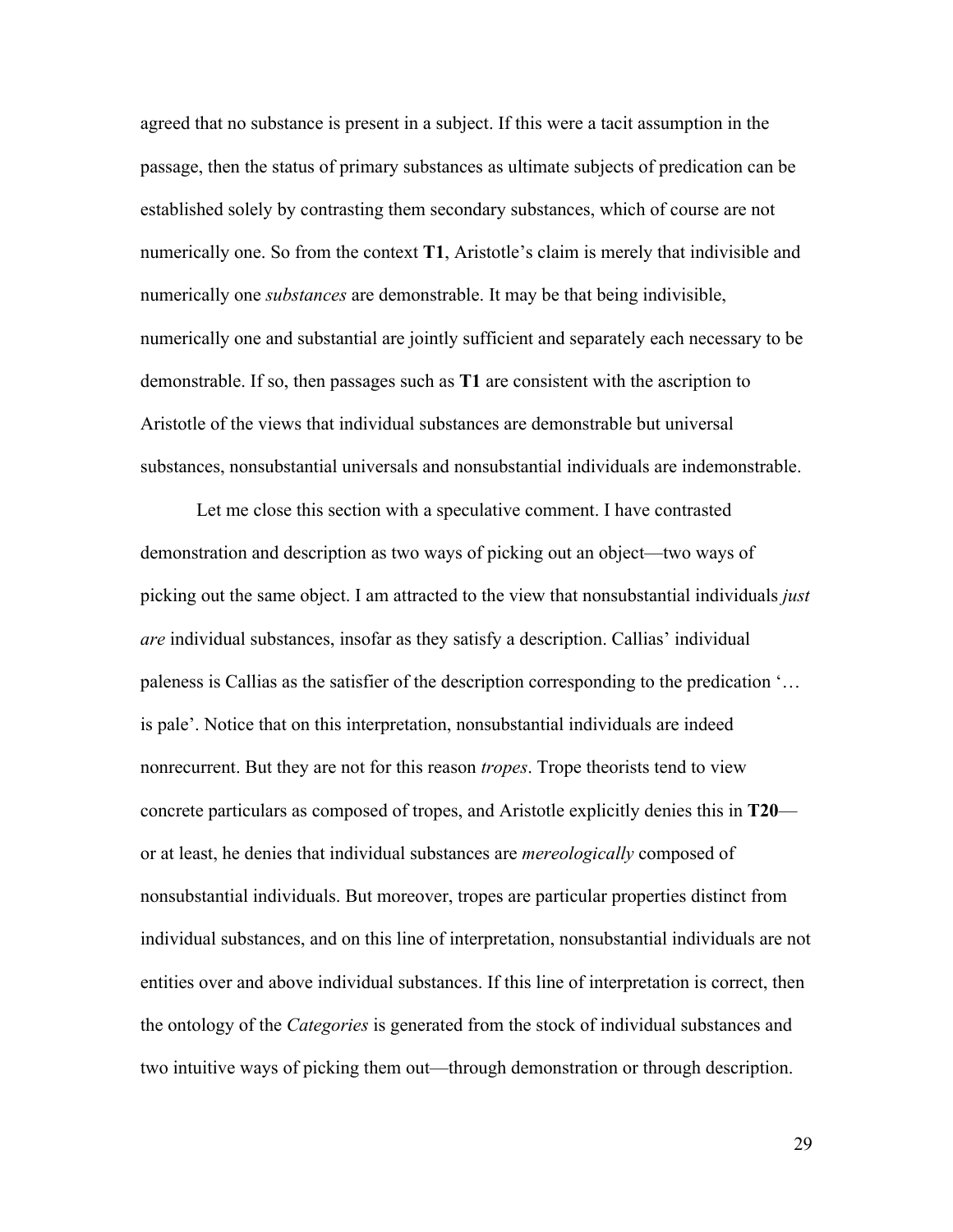agreed that no substance is present in a subject. If this were a tacit assumption in the passage, then the status of primary substances as ultimate subjects of predication can be established solely by contrasting them secondary substances, which of course are not numerically one. So from the context **T1**, Aristotle's claim is merely that indivisible and numerically one *substances* are demonstrable. It may be that being indivisible, numerically one and substantial are jointly sufficient and separately each necessary to be demonstrable. If so, then passages such as **T1** are consistent with the ascription to Aristotle of the views that individual substances are demonstrable but universal substances, nonsubstantial universals and nonsubstantial individuals are indemonstrable.

Let me close this section with a speculative comment. I have contrasted demonstration and description as two ways of picking out an object—two ways of picking out the same object. I am attracted to the view that nonsubstantial individuals *just are* individual substances, insofar as they satisfy a description. Callias' individual paleness is Callias as the satisfier of the description corresponding to the predication '… is pale'. Notice that on this interpretation, nonsubstantial individuals are indeed nonrecurrent. But they are not for this reason *tropes*. Trope theorists tend to view concrete particulars as composed of tropes, and Aristotle explicitly denies this in **T20** or at least, he denies that individual substances are *mereologically* composed of nonsubstantial individuals. But moreover, tropes are particular properties distinct from individual substances, and on this line of interpretation, nonsubstantial individuals are not entities over and above individual substances. If this line of interpretation is correct, then the ontology of the *Categories* is generated from the stock of individual substances and two intuitive ways of picking them out—through demonstration or through description.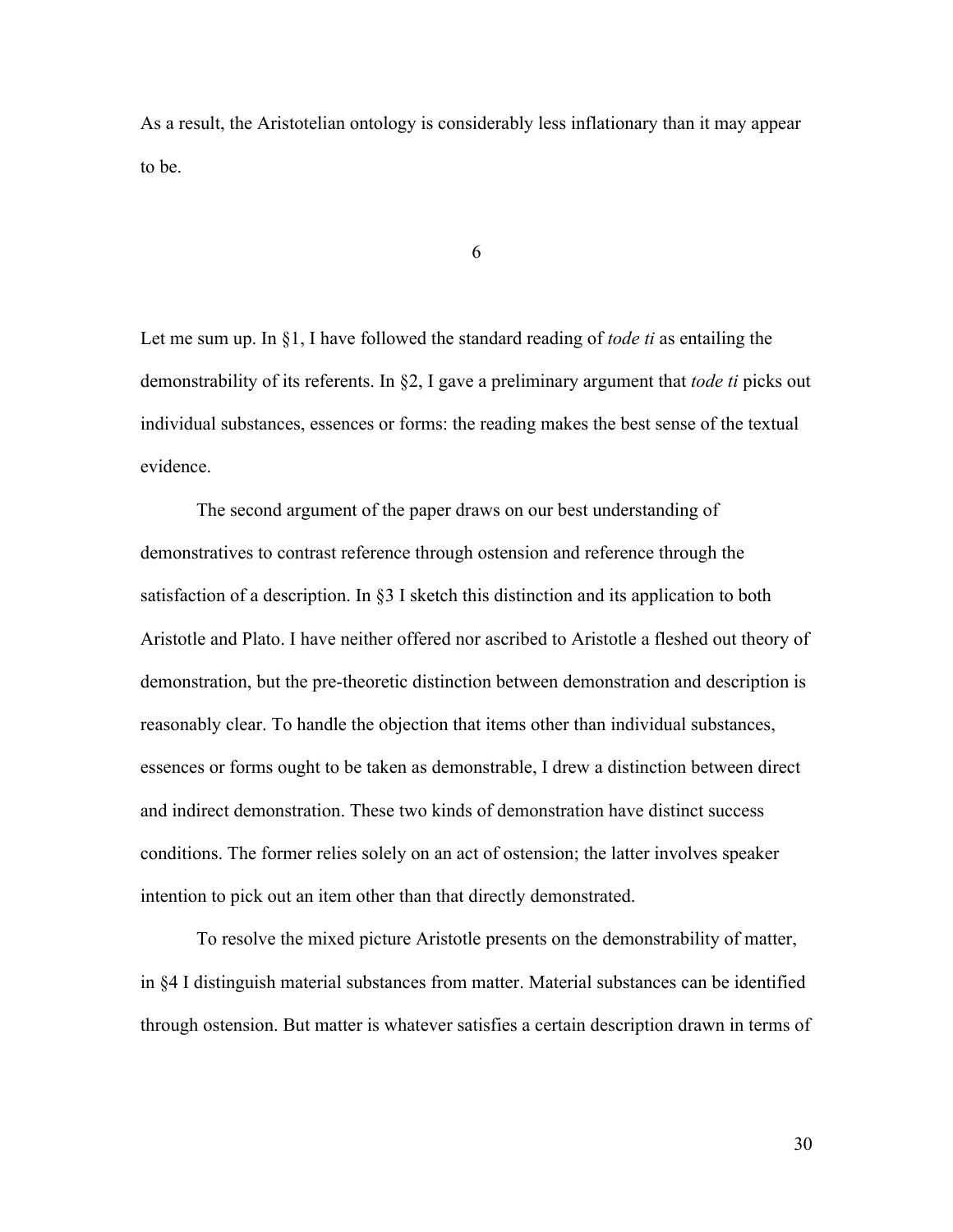As a result, the Aristotelian ontology is considerably less inflationary than it may appear to be.

6

Let me sum up. In §1, I have followed the standard reading of *tode ti* as entailing the demonstrability of its referents. In §2, I gave a preliminary argument that *tode ti* picks out individual substances, essences or forms: the reading makes the best sense of the textual evidence.

The second argument of the paper draws on our best understanding of demonstratives to contrast reference through ostension and reference through the satisfaction of a description. In §3 I sketch this distinction and its application to both Aristotle and Plato. I have neither offered nor ascribed to Aristotle a fleshed out theory of demonstration, but the pre-theoretic distinction between demonstration and description is reasonably clear. To handle the objection that items other than individual substances, essences or forms ought to be taken as demonstrable, I drew a distinction between direct and indirect demonstration. These two kinds of demonstration have distinct success conditions. The former relies solely on an act of ostension; the latter involves speaker intention to pick out an item other than that directly demonstrated.

To resolve the mixed picture Aristotle presents on the demonstrability of matter, in §4 I distinguish material substances from matter. Material substances can be identified through ostension. But matter is whatever satisfies a certain description drawn in terms of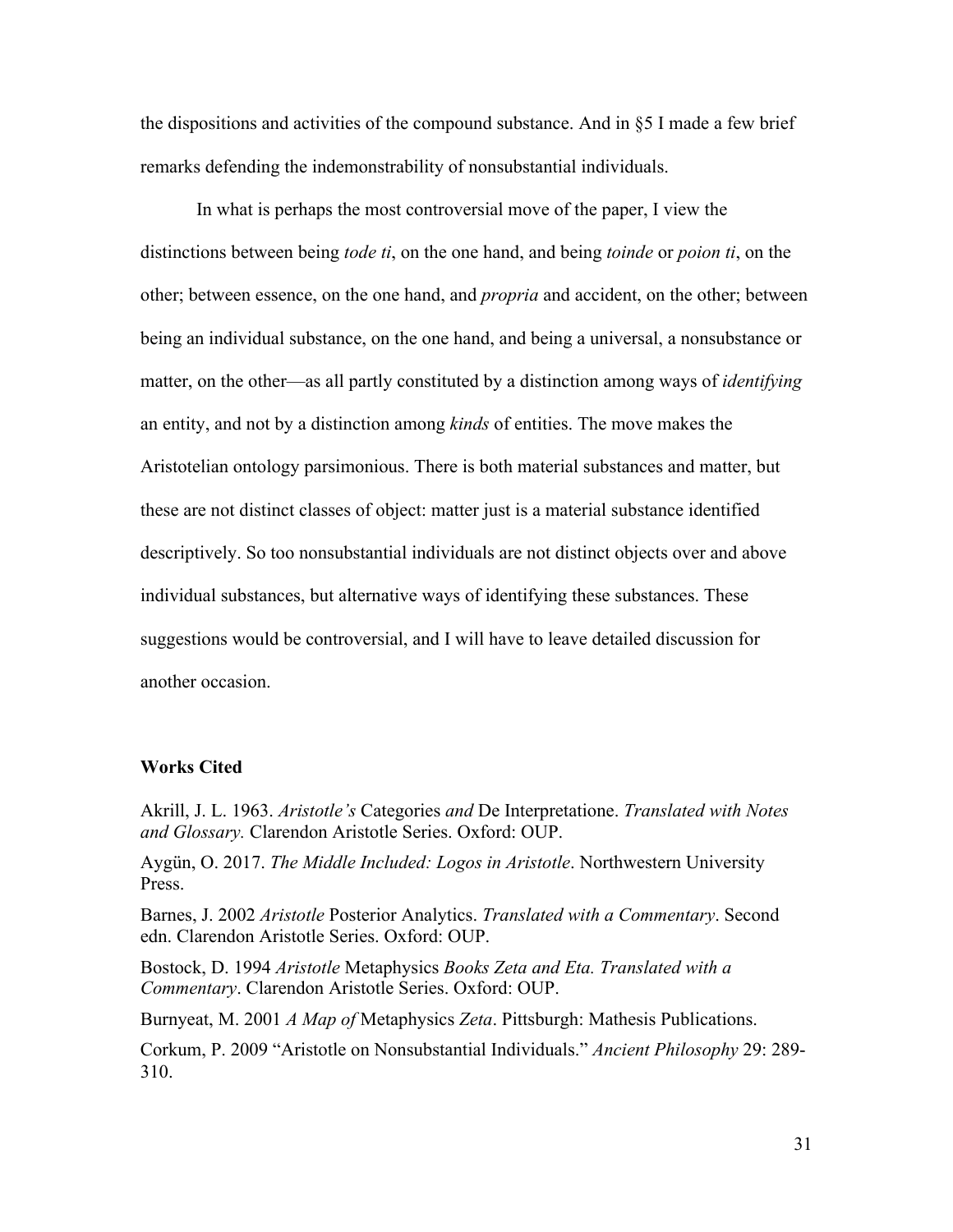the dispositions and activities of the compound substance. And in §5 I made a few brief remarks defending the indemonstrability of nonsubstantial individuals.

In what is perhaps the most controversial move of the paper, I view the distinctions between being *tode ti*, on the one hand, and being *toinde* or *poion ti*, on the other; between essence, on the one hand, and *propria* and accident, on the other; between being an individual substance, on the one hand, and being a universal, a nonsubstance or matter, on the other—as all partly constituted by a distinction among ways of *identifying* an entity, and not by a distinction among *kinds* of entities. The move makes the Aristotelian ontology parsimonious. There is both material substances and matter, but these are not distinct classes of object: matter just is a material substance identified descriptively. So too nonsubstantial individuals are not distinct objects over and above individual substances, but alternative ways of identifying these substances. These suggestions would be controversial, and I will have to leave detailed discussion for another occasion.

## **Works Cited**

Akrill, J. L. 1963. *Aristotle's* Categories *and* De Interpretatione. *Translated with Notes and Glossary.* Clarendon Aristotle Series. Oxford: OUP.

Aygün, O. 2017. *The Middle Included: Logos in Aristotle*. Northwestern University Press.

Barnes, J. 2002 *Aristotle* Posterior Analytics. *Translated with a Commentary*. Second edn. Clarendon Aristotle Series. Oxford: OUP.

Bostock, D. 1994 *Aristotle* Metaphysics *Books Zeta and Eta. Translated with a Commentary*. Clarendon Aristotle Series. Oxford: OUP.

Burnyeat, M. 2001 *A Map of* Metaphysics *Zeta*. Pittsburgh: Mathesis Publications.

Corkum, P. 2009 "Aristotle on Nonsubstantial Individuals." *Ancient Philosophy* 29: 289- 310.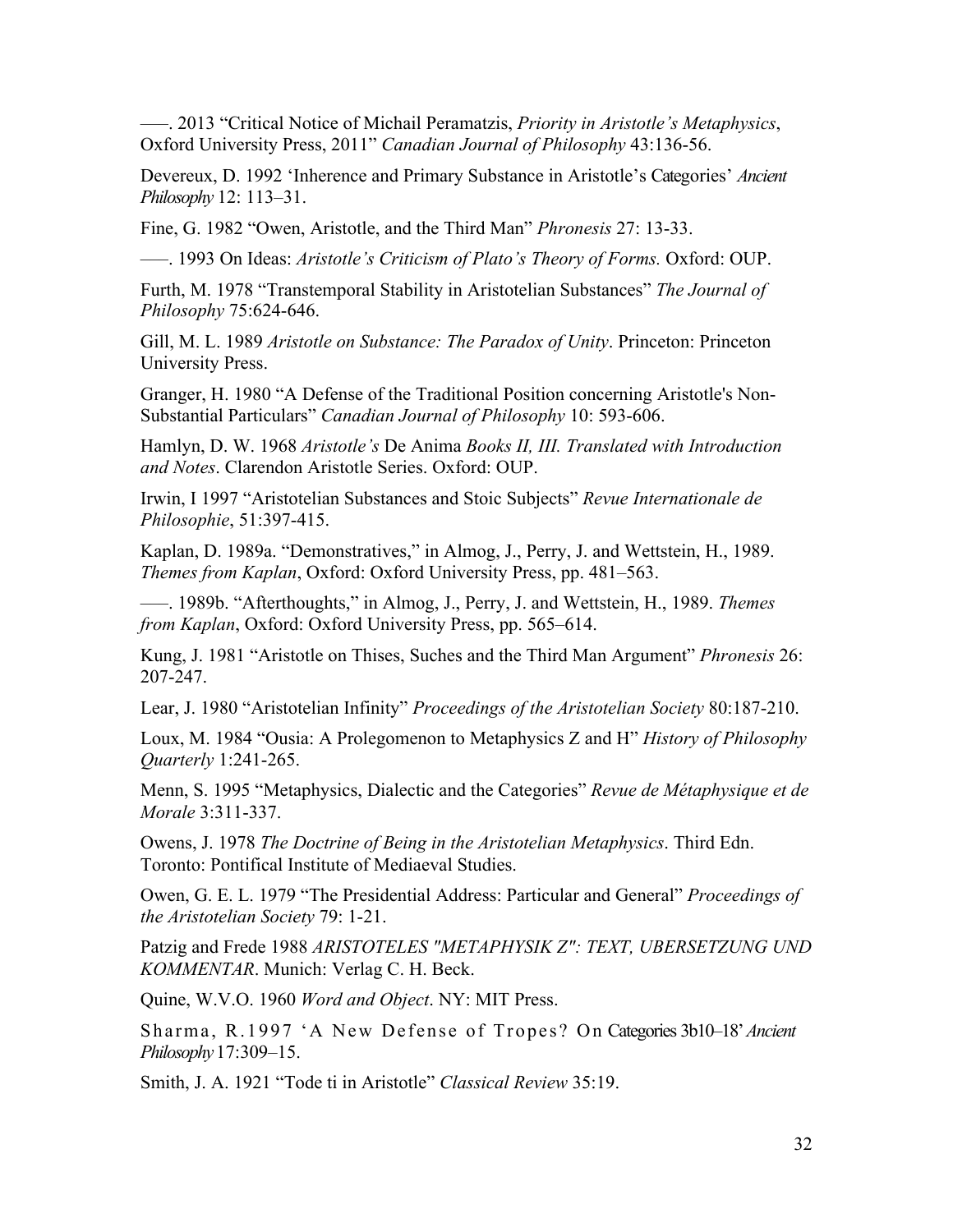–––. 2013 "Critical Notice of Michail Peramatzis, *Priority in Aristotle's Metaphysics*, Oxford University Press, 2011" *Canadian Journal of Philosophy* 43:136-56.

Devereux, D. 1992 'Inherence and Primary Substance in Aristotle's Categories' *Ancient Philosophy* 12: 113–31.

Fine, G. 1982 "Owen, Aristotle, and the Third Man" *Phronesis* 27: 13-33.

–––. 1993 On Ideas: *Aristotle's Criticism of Plato's Theory of Forms.* Oxford: OUP.

Furth, M. 1978 "Transtemporal Stability in Aristotelian Substances" *The Journal of Philosophy* 75:624-646.

Gill, M. L. 1989 *Aristotle on Substance: The Paradox of Unity*. Princeton: Princeton University Press.

Granger, H. 1980 "A Defense of the Traditional Position concerning Aristotle's Non-Substantial Particulars" *Canadian Journal of Philosophy* 10: 593-606.

Hamlyn, D. W. 1968 *Aristotle's* De Anima *Books II, III. Translated with Introduction and Notes*. Clarendon Aristotle Series. Oxford: OUP.

Irwin, I 1997 "Aristotelian Substances and Stoic Subjects" *Revue Internationale de Philosophie*, 51:397-415.

Kaplan, D. 1989a. "Demonstratives," in Almog, J., Perry, J. and Wettstein, H., 1989. *Themes from Kaplan*, Oxford: Oxford University Press, pp. 481–563.

–––. 1989b. "Afterthoughts," in Almog, J., Perry, J. and Wettstein, H., 1989. *Themes from Kaplan*, Oxford: Oxford University Press, pp. 565–614.

Kung, J. 1981 "Aristotle on Thises, Suches and the Third Man Argument" *Phronesis* 26: 207-247.

Lear, J. 1980 "Aristotelian Infinity" *Proceedings of the Aristotelian Society* 80:187-210.

Loux, M. 1984 "Ousia: A Prolegomenon to Metaphysics Z and H" *History of Philosophy Quarterly* 1:241-265.

Menn, S. 1995 "Metaphysics, Dialectic and the Categories" *Revue de Métaphysique et de Morale* 3:311-337.

Owens, J. 1978 *The Doctrine of Being in the Aristotelian Metaphysics*. Third Edn. Toronto: Pontifical Institute of Mediaeval Studies.

Owen, G. E. L. 1979 "The Presidential Address: Particular and General" *Proceedings of the Aristotelian Society* 79: 1-21.

Patzig and Frede 1988 *ARISTOTELES "METAPHYSIK Z": TEXT, UBERSETZUNG UND KOMMENTAR*. Munich: Verlag C. H. Beck.

Quine, W.V.O. 1960 *Word and Object*. NY: MIT Press.

Sharma, R.1997 'A New Defense of Tropes? On Categories 3b10-18' Ancient *Philosophy*17:309–15.

Smith, J. A. 1921 "Tode ti in Aristotle" *Classical Review* 35:19.